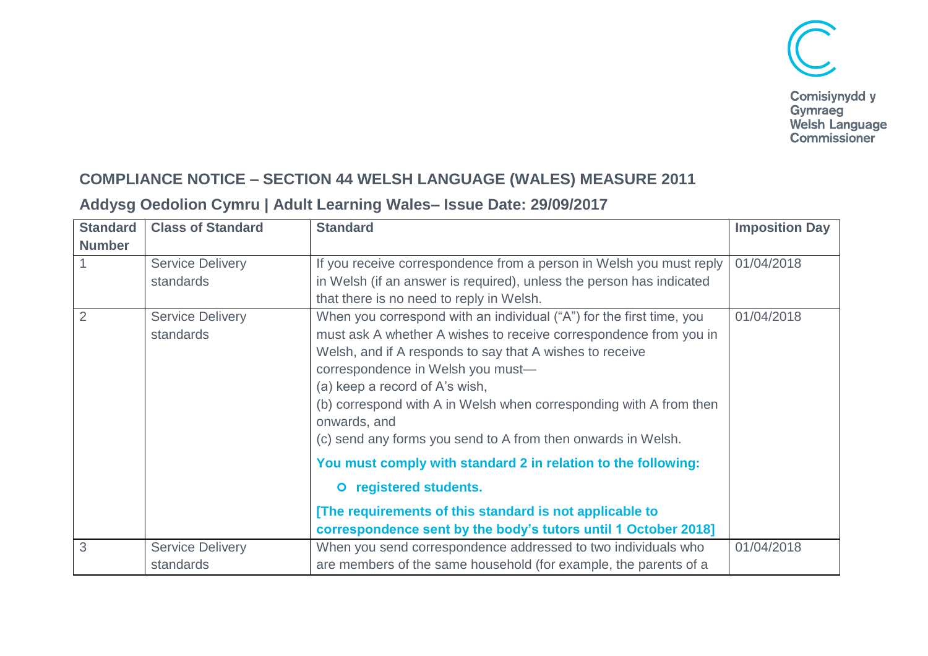

## **COMPLIANCE NOTICE – SECTION 44 WELSH LANGUAGE (WALES) MEASURE 2011**

## **Addysg Oedolion Cymru | Adult Learning Wales– Issue Date: 29/09/2017**

| <b>Standard</b> | <b>Class of Standard</b> | <b>Standard</b>                                                                    | <b>Imposition Day</b> |
|-----------------|--------------------------|------------------------------------------------------------------------------------|-----------------------|
| <b>Number</b>   |                          |                                                                                    |                       |
|                 | <b>Service Delivery</b>  | If you receive correspondence from a person in Welsh you must reply                | 01/04/2018            |
|                 | standards                | in Welsh (if an answer is required), unless the person has indicated               |                       |
|                 |                          | that there is no need to reply in Welsh.                                           |                       |
|                 | <b>Service Delivery</b>  | When you correspond with an individual ("A") for the first time, you               | 01/04/2018            |
|                 | standards                | must ask A whether A wishes to receive correspondence from you in                  |                       |
|                 |                          | Welsh, and if A responds to say that A wishes to receive                           |                       |
|                 |                          | correspondence in Welsh you must-                                                  |                       |
|                 |                          | (a) keep a record of A's wish,                                                     |                       |
|                 |                          | (b) correspond with A in Welsh when corresponding with A from then<br>onwards, and |                       |
|                 |                          | (c) send any forms you send to A from then onwards in Welsh.                       |                       |
|                 |                          | You must comply with standard 2 in relation to the following:                      |                       |
|                 |                          | O registered students.                                                             |                       |
|                 |                          | [The requirements of this standard is not applicable to                            |                       |
|                 |                          | correspondence sent by the body's tutors until 1 October 2018]                     |                       |
| 3               | <b>Service Delivery</b>  | When you send correspondence addressed to two individuals who                      | 01/04/2018            |
|                 | standards                | are members of the same household (for example, the parents of a                   |                       |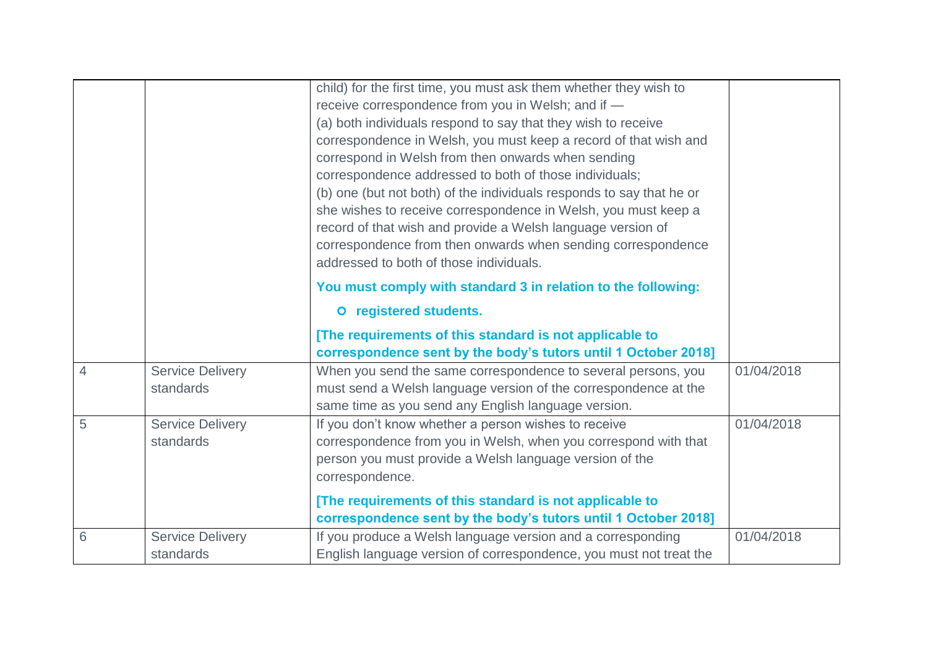|                |                                      | child) for the first time, you must ask them whether they wish to<br>receive correspondence from you in Welsh; and if -<br>(a) both individuals respond to say that they wish to receive<br>correspondence in Welsh, you must keep a record of that wish and<br>correspond in Welsh from then onwards when sending<br>correspondence addressed to both of those individuals;<br>(b) one (but not both) of the individuals responds to say that he or<br>she wishes to receive correspondence in Welsh, you must keep a<br>record of that wish and provide a Welsh language version of<br>correspondence from then onwards when sending correspondence<br>addressed to both of those individuals. |            |
|----------------|--------------------------------------|--------------------------------------------------------------------------------------------------------------------------------------------------------------------------------------------------------------------------------------------------------------------------------------------------------------------------------------------------------------------------------------------------------------------------------------------------------------------------------------------------------------------------------------------------------------------------------------------------------------------------------------------------------------------------------------------------|------------|
|                |                                      | You must comply with standard 3 in relation to the following:                                                                                                                                                                                                                                                                                                                                                                                                                                                                                                                                                                                                                                    |            |
|                |                                      | O registered students.                                                                                                                                                                                                                                                                                                                                                                                                                                                                                                                                                                                                                                                                           |            |
|                |                                      | [The requirements of this standard is not applicable to<br>correspondence sent by the body's tutors until 1 October 2018]                                                                                                                                                                                                                                                                                                                                                                                                                                                                                                                                                                        |            |
| $\overline{4}$ | <b>Service Delivery</b><br>standards | When you send the same correspondence to several persons, you<br>must send a Welsh language version of the correspondence at the<br>same time as you send any English language version.                                                                                                                                                                                                                                                                                                                                                                                                                                                                                                          | 01/04/2018 |
| 5              | <b>Service Delivery</b><br>standards | If you don't know whether a person wishes to receive<br>correspondence from you in Welsh, when you correspond with that<br>person you must provide a Welsh language version of the<br>correspondence.<br>[The requirements of this standard is not applicable to                                                                                                                                                                                                                                                                                                                                                                                                                                 | 01/04/2018 |
| 6              | <b>Service Delivery</b><br>standards | correspondence sent by the body's tutors until 1 October 2018]<br>If you produce a Welsh language version and a corresponding<br>English language version of correspondence, you must not treat the                                                                                                                                                                                                                                                                                                                                                                                                                                                                                              | 01/04/2018 |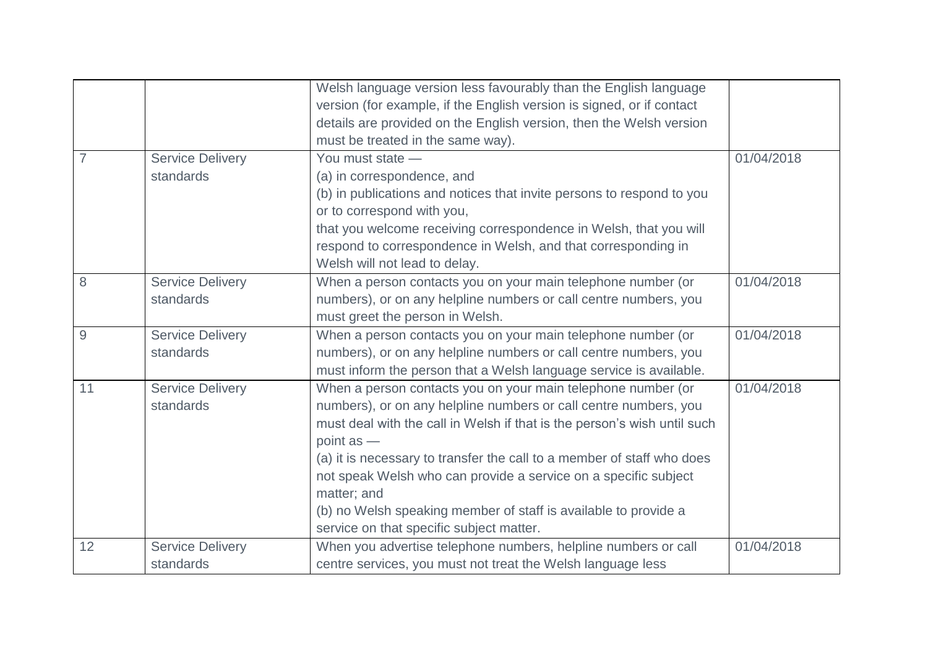|    |                                      | Welsh language version less favourably than the English language<br>version (for example, if the English version is signed, or if contact<br>details are provided on the English version, then the Welsh version                                                                                                                                                                                                                                                                                        |            |
|----|--------------------------------------|---------------------------------------------------------------------------------------------------------------------------------------------------------------------------------------------------------------------------------------------------------------------------------------------------------------------------------------------------------------------------------------------------------------------------------------------------------------------------------------------------------|------------|
|    |                                      | must be treated in the same way).                                                                                                                                                                                                                                                                                                                                                                                                                                                                       |            |
|    | <b>Service Delivery</b><br>standards | You must state -<br>(a) in correspondence, and<br>(b) in publications and notices that invite persons to respond to you<br>or to correspond with you,<br>that you welcome receiving correspondence in Welsh, that you will<br>respond to correspondence in Welsh, and that corresponding in                                                                                                                                                                                                             | 01/04/2018 |
|    |                                      | Welsh will not lead to delay.                                                                                                                                                                                                                                                                                                                                                                                                                                                                           |            |
| 8  | <b>Service Delivery</b><br>standards | When a person contacts you on your main telephone number (or<br>numbers), or on any helpline numbers or call centre numbers, you<br>must greet the person in Welsh.                                                                                                                                                                                                                                                                                                                                     | 01/04/2018 |
| 9  | <b>Service Delivery</b><br>standards | When a person contacts you on your main telephone number (or<br>numbers), or on any helpline numbers or call centre numbers, you<br>must inform the person that a Welsh language service is available.                                                                                                                                                                                                                                                                                                  | 01/04/2018 |
| 11 | <b>Service Delivery</b><br>standards | When a person contacts you on your main telephone number (or<br>numbers), or on any helpline numbers or call centre numbers, you<br>must deal with the call in Welsh if that is the person's wish until such<br>point $as -$<br>(a) it is necessary to transfer the call to a member of staff who does<br>not speak Welsh who can provide a service on a specific subject<br>matter; and<br>(b) no Welsh speaking member of staff is available to provide a<br>service on that specific subject matter. | 01/04/2018 |
| 12 | <b>Service Delivery</b><br>standards | When you advertise telephone numbers, helpline numbers or call<br>centre services, you must not treat the Welsh language less                                                                                                                                                                                                                                                                                                                                                                           | 01/04/2018 |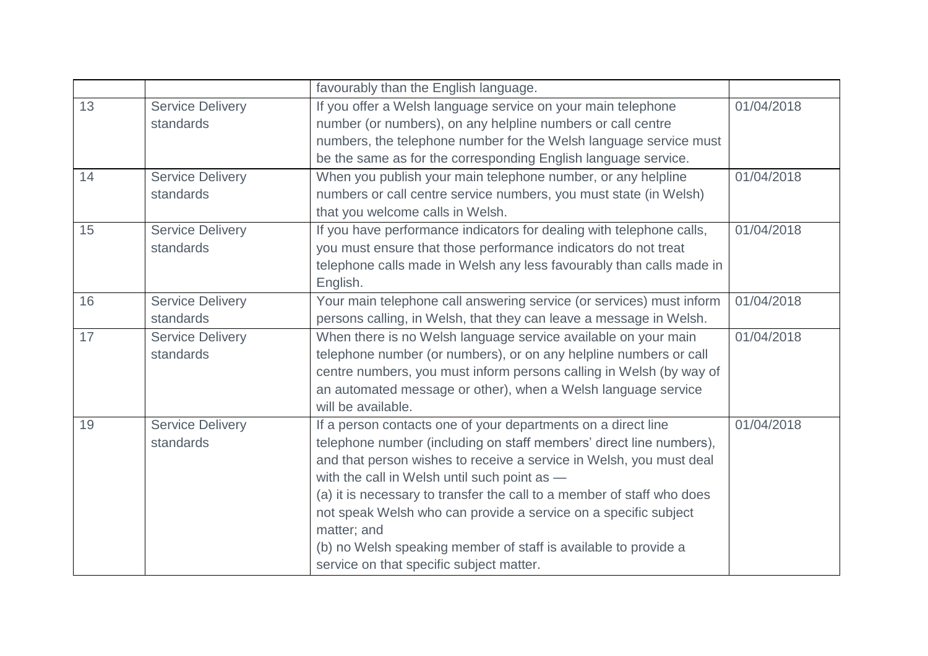|    |                         | favourably than the English language.                                  |            |
|----|-------------------------|------------------------------------------------------------------------|------------|
| 13 | <b>Service Delivery</b> | If you offer a Welsh language service on your main telephone           | 01/04/2018 |
|    | standards               | number (or numbers), on any helpline numbers or call centre            |            |
|    |                         | numbers, the telephone number for the Welsh language service must      |            |
|    |                         | be the same as for the corresponding English language service.         |            |
| 14 | <b>Service Delivery</b> | When you publish your main telephone number, or any helpline           | 01/04/2018 |
|    | standards               | numbers or call centre service numbers, you must state (in Welsh)      |            |
|    |                         | that you welcome calls in Welsh.                                       |            |
| 15 | <b>Service Delivery</b> | If you have performance indicators for dealing with telephone calls,   | 01/04/2018 |
|    | standards               | you must ensure that those performance indicators do not treat         |            |
|    |                         | telephone calls made in Welsh any less favourably than calls made in   |            |
|    |                         | English.                                                               |            |
| 16 | <b>Service Delivery</b> | Your main telephone call answering service (or services) must inform   | 01/04/2018 |
|    | standards               | persons calling, in Welsh, that they can leave a message in Welsh.     |            |
| 17 | <b>Service Delivery</b> | When there is no Welsh language service available on your main         | 01/04/2018 |
|    | standards               | telephone number (or numbers), or on any helpline numbers or call      |            |
|    |                         | centre numbers, you must inform persons calling in Welsh (by way of    |            |
|    |                         | an automated message or other), when a Welsh language service          |            |
|    |                         | will be available.                                                     |            |
| 19 | <b>Service Delivery</b> | If a person contacts one of your departments on a direct line          | 01/04/2018 |
|    | standards               | telephone number (including on staff members' direct line numbers),    |            |
|    |                         | and that person wishes to receive a service in Welsh, you must deal    |            |
|    |                         | with the call in Welsh until such point as -                           |            |
|    |                         | (a) it is necessary to transfer the call to a member of staff who does |            |
|    |                         | not speak Welsh who can provide a service on a specific subject        |            |
|    |                         | matter; and                                                            |            |
|    |                         | (b) no Welsh speaking member of staff is available to provide a        |            |
|    |                         | service on that specific subject matter.                               |            |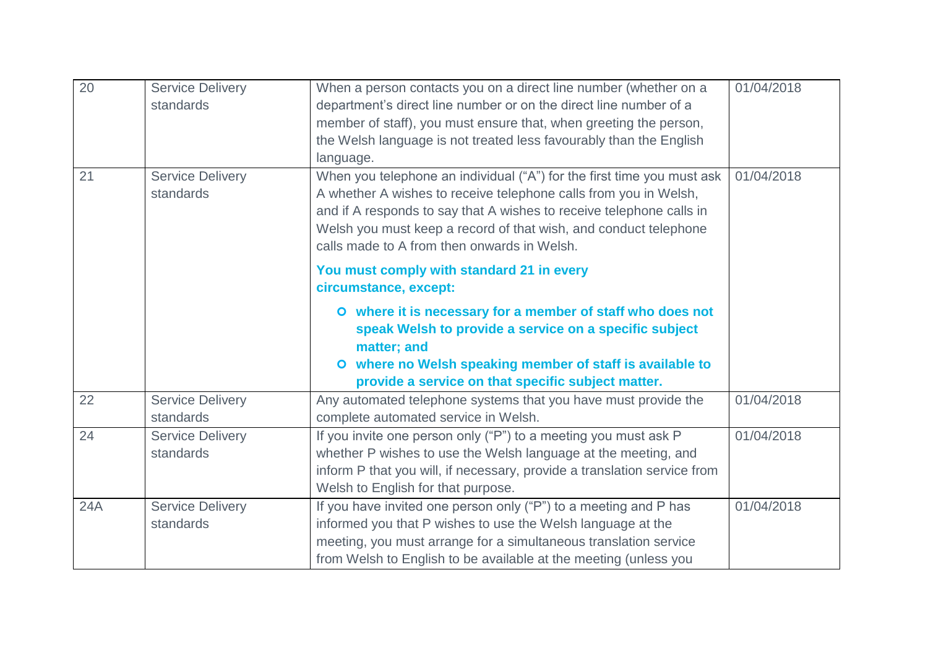| 20  | <b>Service Delivery</b> | When a person contacts you on a direct line number (whether on a         | 01/04/2018 |
|-----|-------------------------|--------------------------------------------------------------------------|------------|
|     | standards               | department's direct line number or on the direct line number of a        |            |
|     |                         | member of staff), you must ensure that, when greeting the person,        |            |
|     |                         | the Welsh language is not treated less favourably than the English       |            |
|     |                         | language.                                                                |            |
| 21  | <b>Service Delivery</b> | When you telephone an individual ("A") for the first time you must ask   | 01/04/2018 |
|     | standards               | A whether A wishes to receive telephone calls from you in Welsh,         |            |
|     |                         | and if A responds to say that A wishes to receive telephone calls in     |            |
|     |                         | Welsh you must keep a record of that wish, and conduct telephone         |            |
|     |                         | calls made to A from then onwards in Welsh.                              |            |
|     |                         | You must comply with standard 21 in every                                |            |
|     |                         | circumstance, except:                                                    |            |
|     |                         | O where it is necessary for a member of staff who does not               |            |
|     |                         | speak Welsh to provide a service on a specific subject                   |            |
|     |                         | matter; and                                                              |            |
|     |                         | O where no Welsh speaking member of staff is available to                |            |
|     |                         | provide a service on that specific subject matter.                       |            |
| 22  | <b>Service Delivery</b> | Any automated telephone systems that you have must provide the           | 01/04/2018 |
|     | standards               | complete automated service in Welsh.                                     |            |
| 24  | <b>Service Delivery</b> | If you invite one person only ("P") to a meeting you must ask P          | 01/04/2018 |
|     | standards               | whether P wishes to use the Welsh language at the meeting, and           |            |
|     |                         | inform P that you will, if necessary, provide a translation service from |            |
|     |                         | Welsh to English for that purpose.                                       |            |
| 24A | <b>Service Delivery</b> | If you have invited one person only ("P") to a meeting and P has         | 01/04/2018 |
|     | standards               | informed you that P wishes to use the Welsh language at the              |            |
|     |                         | meeting, you must arrange for a simultaneous translation service         |            |
|     |                         | from Welsh to English to be available at the meeting (unless you         |            |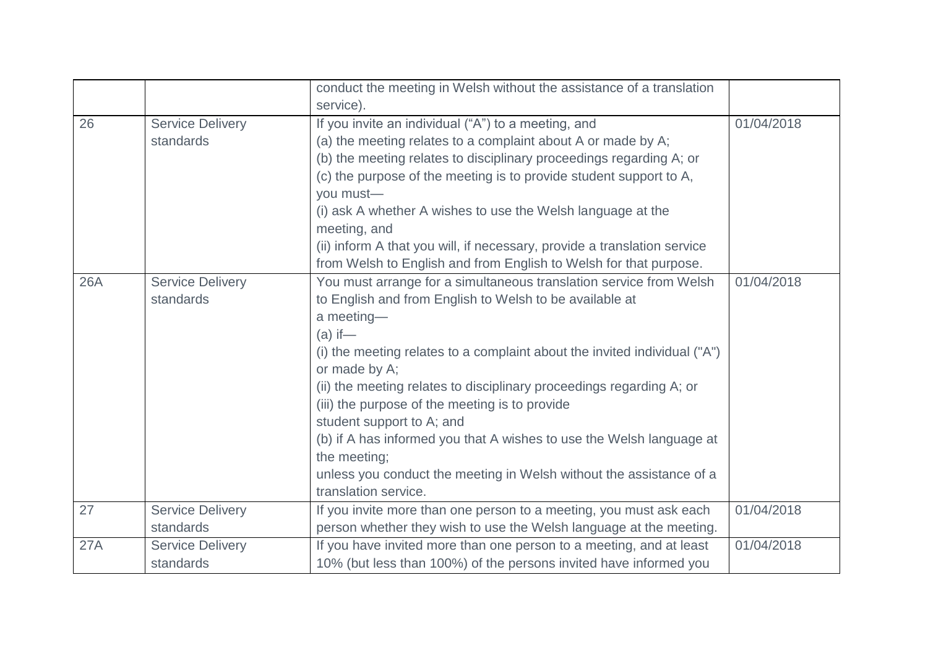|            |                         | conduct the meeting in Welsh without the assistance of a translation      |            |
|------------|-------------------------|---------------------------------------------------------------------------|------------|
|            |                         | service).                                                                 |            |
| 26         | <b>Service Delivery</b> | If you invite an individual ("A") to a meeting, and                       | 01/04/2018 |
|            | standards               | (a) the meeting relates to a complaint about A or made by A;              |            |
|            |                         | (b) the meeting relates to disciplinary proceedings regarding A; or       |            |
|            |                         | (c) the purpose of the meeting is to provide student support to A,        |            |
|            |                         | you must-                                                                 |            |
|            |                         | (i) ask A whether A wishes to use the Welsh language at the               |            |
|            |                         | meeting, and                                                              |            |
|            |                         | (ii) inform A that you will, if necessary, provide a translation service  |            |
|            |                         | from Welsh to English and from English to Welsh for that purpose.         |            |
| <b>26A</b> | <b>Service Delivery</b> | You must arrange for a simultaneous translation service from Welsh        | 01/04/2018 |
|            | standards               | to English and from English to Welsh to be available at                   |            |
|            |                         | a meeting-                                                                |            |
|            |                         | $(a)$ if —                                                                |            |
|            |                         | (i) the meeting relates to a complaint about the invited individual ("A") |            |
|            |                         | or made by A;                                                             |            |
|            |                         | (ii) the meeting relates to disciplinary proceedings regarding A; or      |            |
|            |                         | (iii) the purpose of the meeting is to provide                            |            |
|            |                         | student support to A; and                                                 |            |
|            |                         | (b) if A has informed you that A wishes to use the Welsh language at      |            |
|            |                         | the meeting;                                                              |            |
|            |                         | unless you conduct the meeting in Welsh without the assistance of a       |            |
|            |                         | translation service.                                                      |            |
| 27         | <b>Service Delivery</b> | If you invite more than one person to a meeting, you must ask each        | 01/04/2018 |
|            | standards               | person whether they wish to use the Welsh language at the meeting.        |            |
| 27A        | <b>Service Delivery</b> | If you have invited more than one person to a meeting, and at least       | 01/04/2018 |
|            | standards               | 10% (but less than 100%) of the persons invited have informed you         |            |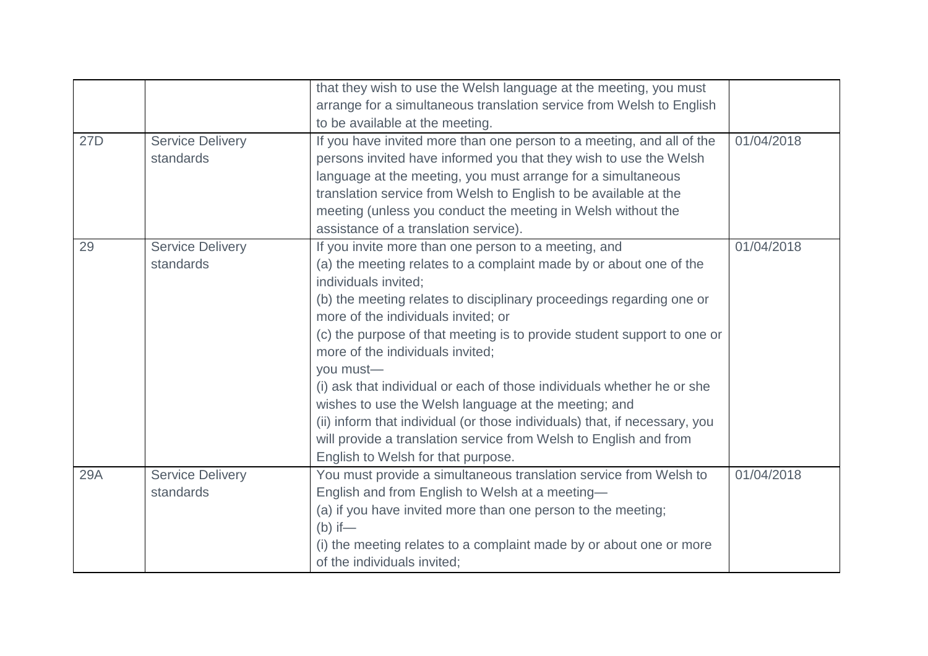|     |                         | that they wish to use the Welsh language at the meeting, you must                          |            |
|-----|-------------------------|--------------------------------------------------------------------------------------------|------------|
|     |                         | arrange for a simultaneous translation service from Welsh to English                       |            |
|     |                         | to be available at the meeting.                                                            |            |
| 27D | <b>Service Delivery</b> | If you have invited more than one person to a meeting, and all of the                      | 01/04/2018 |
|     | standards               | persons invited have informed you that they wish to use the Welsh                          |            |
|     |                         | language at the meeting, you must arrange for a simultaneous                               |            |
|     |                         | translation service from Welsh to English to be available at the                           |            |
|     |                         | meeting (unless you conduct the meeting in Welsh without the                               |            |
|     |                         | assistance of a translation service).                                                      |            |
| 29  | <b>Service Delivery</b> | If you invite more than one person to a meeting, and                                       | 01/04/2018 |
|     | standards               | (a) the meeting relates to a complaint made by or about one of the<br>individuals invited; |            |
|     |                         | (b) the meeting relates to disciplinary proceedings regarding one or                       |            |
|     |                         | more of the individuals invited; or                                                        |            |
|     |                         | (c) the purpose of that meeting is to provide student support to one or                    |            |
|     |                         | more of the individuals invited;                                                           |            |
|     |                         | you must-                                                                                  |            |
|     |                         | (i) ask that individual or each of those individuals whether he or she                     |            |
|     |                         | wishes to use the Welsh language at the meeting; and                                       |            |
|     |                         | (ii) inform that individual (or those individuals) that, if necessary, you                 |            |
|     |                         | will provide a translation service from Welsh to English and from                          |            |
|     |                         | English to Welsh for that purpose.                                                         |            |
| 29A | <b>Service Delivery</b> | You must provide a simultaneous translation service from Welsh to                          | 01/04/2018 |
|     | standards               | English and from English to Welsh at a meeting-                                            |            |
|     |                         | (a) if you have invited more than one person to the meeting;                               |            |
|     |                         | $(b)$ if —                                                                                 |            |
|     |                         | (i) the meeting relates to a complaint made by or about one or more                        |            |
|     |                         | of the individuals invited;                                                                |            |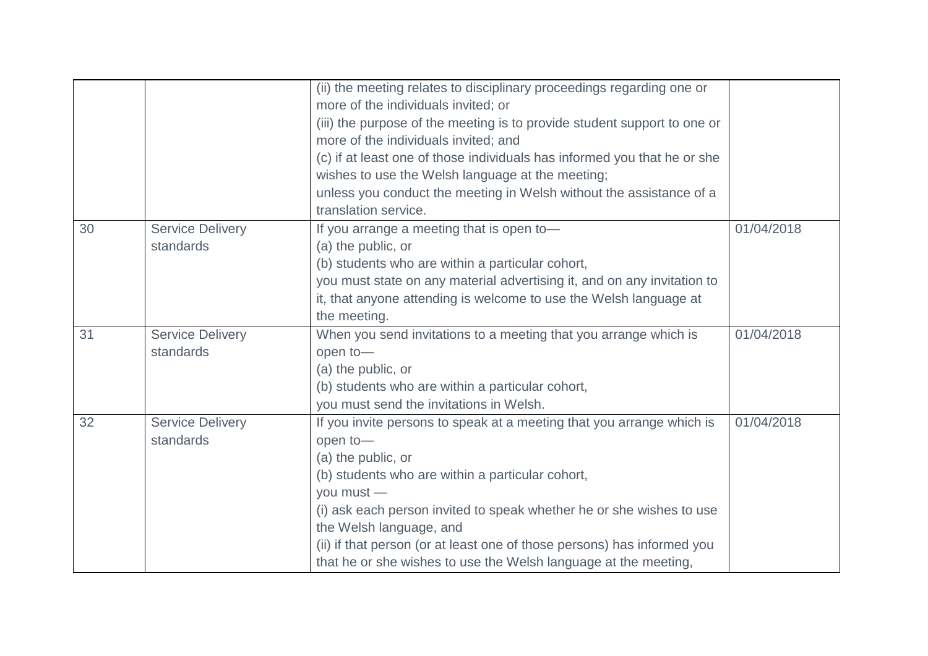|    |                         | (ii) the meeting relates to disciplinary proceedings regarding one or    |            |
|----|-------------------------|--------------------------------------------------------------------------|------------|
|    |                         | more of the individuals invited; or                                      |            |
|    |                         | (iii) the purpose of the meeting is to provide student support to one or |            |
|    |                         | more of the individuals invited; and                                     |            |
|    |                         | (c) if at least one of those individuals has informed you that he or she |            |
|    |                         | wishes to use the Welsh language at the meeting;                         |            |
|    |                         | unless you conduct the meeting in Welsh without the assistance of a      |            |
|    |                         | translation service.                                                     |            |
| 30 | <b>Service Delivery</b> | If you arrange a meeting that is open to-                                | 01/04/2018 |
|    | standards               | (a) the public, or                                                       |            |
|    |                         | (b) students who are within a particular cohort,                         |            |
|    |                         | you must state on any material advertising it, and on any invitation to  |            |
|    |                         | it, that anyone attending is welcome to use the Welsh language at        |            |
|    |                         | the meeting.                                                             |            |
| 31 | <b>Service Delivery</b> | When you send invitations to a meeting that you arrange which is         | 01/04/2018 |
|    | standards               | open to-                                                                 |            |
|    |                         | (a) the public, or                                                       |            |
|    |                         | (b) students who are within a particular cohort,                         |            |
|    |                         | you must send the invitations in Welsh.                                  |            |
| 32 | <b>Service Delivery</b> | If you invite persons to speak at a meeting that you arrange which is    | 01/04/2018 |
|    | standards               | open to-                                                                 |            |
|    |                         | (a) the public, or                                                       |            |
|    |                         | (b) students who are within a particular cohort,                         |            |
|    |                         | you must -                                                               |            |
|    |                         |                                                                          |            |
|    |                         | (i) ask each person invited to speak whether he or she wishes to use     |            |
|    |                         | the Welsh language, and                                                  |            |
|    |                         | (ii) if that person (or at least one of those persons) has informed you  |            |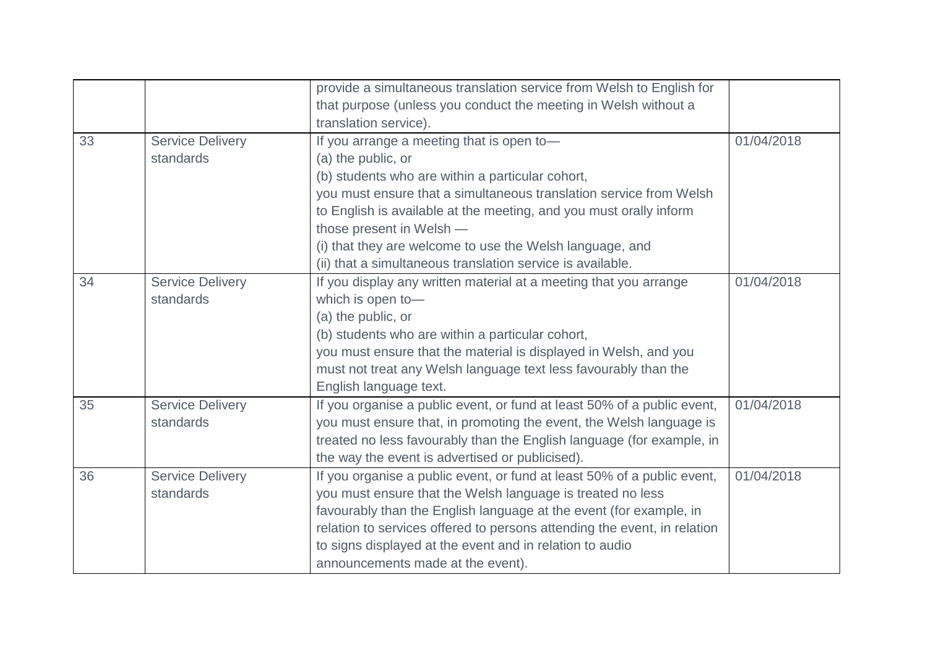|    |                         | provide a simultaneous translation service from Welsh to English for     |            |
|----|-------------------------|--------------------------------------------------------------------------|------------|
|    |                         | that purpose (unless you conduct the meeting in Welsh without a          |            |
|    |                         | translation service).                                                    |            |
| 33 | <b>Service Delivery</b> | If you arrange a meeting that is open to-                                | 01/04/2018 |
|    | standards               | (a) the public, or                                                       |            |
|    |                         | (b) students who are within a particular cohort,                         |            |
|    |                         | you must ensure that a simultaneous translation service from Welsh       |            |
|    |                         | to English is available at the meeting, and you must orally inform       |            |
|    |                         | those present in Welsh -                                                 |            |
|    |                         | (i) that they are welcome to use the Welsh language, and                 |            |
|    |                         | (ii) that a simultaneous translation service is available.               |            |
| 34 | <b>Service Delivery</b> | If you display any written material at a meeting that you arrange        | 01/04/2018 |
|    | standards               | which is open to-                                                        |            |
|    |                         | (a) the public, or                                                       |            |
|    |                         | (b) students who are within a particular cohort,                         |            |
|    |                         | you must ensure that the material is displayed in Welsh, and you         |            |
|    |                         | must not treat any Welsh language text less favourably than the          |            |
|    |                         | English language text.                                                   |            |
| 35 | <b>Service Delivery</b> | If you organise a public event, or fund at least 50% of a public event,  | 01/04/2018 |
|    | standards               | you must ensure that, in promoting the event, the Welsh language is      |            |
|    |                         | treated no less favourably than the English language (for example, in    |            |
|    |                         | the way the event is advertised or publicised).                          |            |
| 36 | <b>Service Delivery</b> | If you organise a public event, or fund at least 50% of a public event,  | 01/04/2018 |
|    | standards               | you must ensure that the Welsh language is treated no less               |            |
|    |                         | favourably than the English language at the event (for example, in       |            |
|    |                         | relation to services offered to persons attending the event, in relation |            |
|    |                         | to signs displayed at the event and in relation to audio                 |            |
|    |                         | announcements made at the event).                                        |            |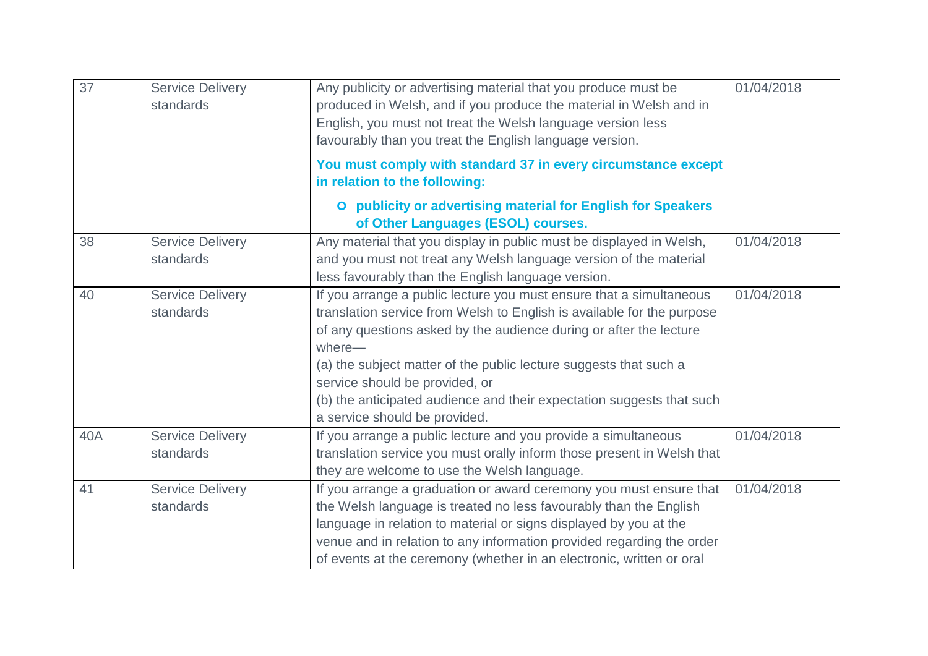| $\overline{37}$ | <b>Service Delivery</b><br>standards | Any publicity or advertising material that you produce must be<br>produced in Welsh, and if you produce the material in Welsh and in<br>English, you must not treat the Welsh language version less<br>favourably than you treat the English language version.                                                                                                                                                                                 | 01/04/2018 |
|-----------------|--------------------------------------|------------------------------------------------------------------------------------------------------------------------------------------------------------------------------------------------------------------------------------------------------------------------------------------------------------------------------------------------------------------------------------------------------------------------------------------------|------------|
|                 |                                      | You must comply with standard 37 in every circumstance except<br>in relation to the following:                                                                                                                                                                                                                                                                                                                                                 |            |
|                 |                                      | O publicity or advertising material for English for Speakers<br>of Other Languages (ESOL) courses.                                                                                                                                                                                                                                                                                                                                             |            |
| 38              | <b>Service Delivery</b><br>standards | Any material that you display in public must be displayed in Welsh,<br>and you must not treat any Welsh language version of the material<br>less favourably than the English language version.                                                                                                                                                                                                                                                 | 01/04/2018 |
| 40              | <b>Service Delivery</b><br>standards | If you arrange a public lecture you must ensure that a simultaneous<br>translation service from Welsh to English is available for the purpose<br>of any questions asked by the audience during or after the lecture<br>where-<br>(a) the subject matter of the public lecture suggests that such a<br>service should be provided, or<br>(b) the anticipated audience and their expectation suggests that such<br>a service should be provided. | 01/04/2018 |
| 40A             | <b>Service Delivery</b><br>standards | If you arrange a public lecture and you provide a simultaneous<br>translation service you must orally inform those present in Welsh that<br>they are welcome to use the Welsh language.                                                                                                                                                                                                                                                        | 01/04/2018 |
| 41              | <b>Service Delivery</b><br>standards | If you arrange a graduation or award ceremony you must ensure that<br>the Welsh language is treated no less favourably than the English<br>language in relation to material or signs displayed by you at the<br>venue and in relation to any information provided regarding the order<br>of events at the ceremony (whether in an electronic, written or oral                                                                                  | 01/04/2018 |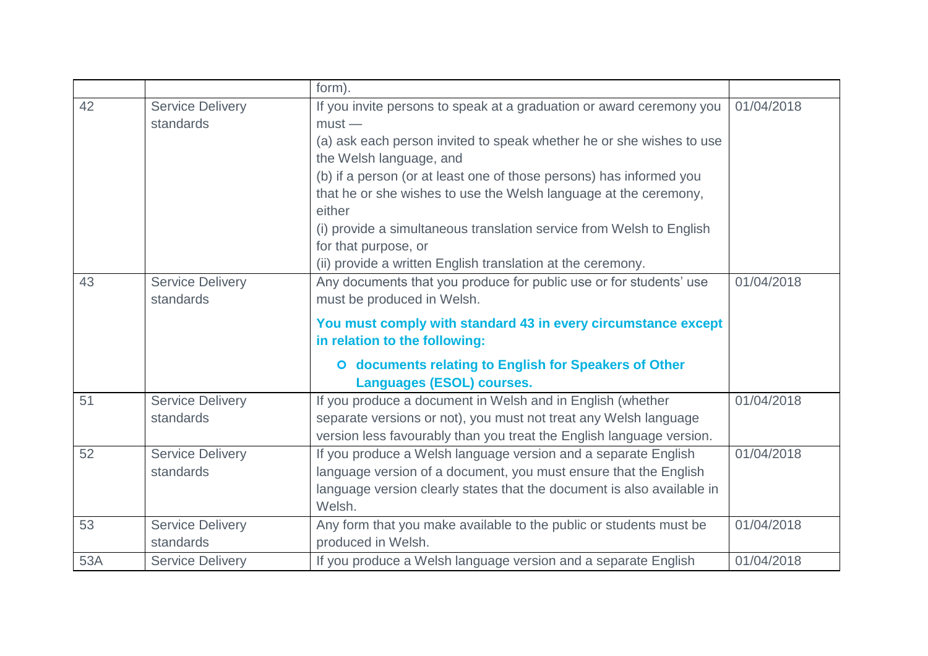|     |                                      | form).                                                                                                                                                                                                                                                                                                                                                                                                                                                                                                  |            |
|-----|--------------------------------------|---------------------------------------------------------------------------------------------------------------------------------------------------------------------------------------------------------------------------------------------------------------------------------------------------------------------------------------------------------------------------------------------------------------------------------------------------------------------------------------------------------|------------|
| 42  | <b>Service Delivery</b><br>standards | If you invite persons to speak at a graduation or award ceremony you<br>$must -$<br>(a) ask each person invited to speak whether he or she wishes to use<br>the Welsh language, and<br>(b) if a person (or at least one of those persons) has informed you<br>that he or she wishes to use the Welsh language at the ceremony,<br>either<br>(i) provide a simultaneous translation service from Welsh to English<br>for that purpose, or<br>(ii) provide a written English translation at the ceremony. | 01/04/2018 |
| 43  | <b>Service Delivery</b><br>standards | Any documents that you produce for public use or for students' use<br>must be produced in Welsh.<br>You must comply with standard 43 in every circumstance except<br>in relation to the following:<br>O documents relating to English for Speakers of Other<br><b>Languages (ESOL) courses.</b>                                                                                                                                                                                                         | 01/04/2018 |
| 51  | <b>Service Delivery</b><br>standards | If you produce a document in Welsh and in English (whether<br>separate versions or not), you must not treat any Welsh language<br>version less favourably than you treat the English language version.                                                                                                                                                                                                                                                                                                  | 01/04/2018 |
| 52  | <b>Service Delivery</b><br>standards | If you produce a Welsh language version and a separate English<br>language version of a document, you must ensure that the English<br>language version clearly states that the document is also available in<br>Welsh.                                                                                                                                                                                                                                                                                  | 01/04/2018 |
| 53  | <b>Service Delivery</b><br>standards | Any form that you make available to the public or students must be<br>produced in Welsh.                                                                                                                                                                                                                                                                                                                                                                                                                | 01/04/2018 |
| 53A | <b>Service Delivery</b>              | If you produce a Welsh language version and a separate English                                                                                                                                                                                                                                                                                                                                                                                                                                          | 01/04/2018 |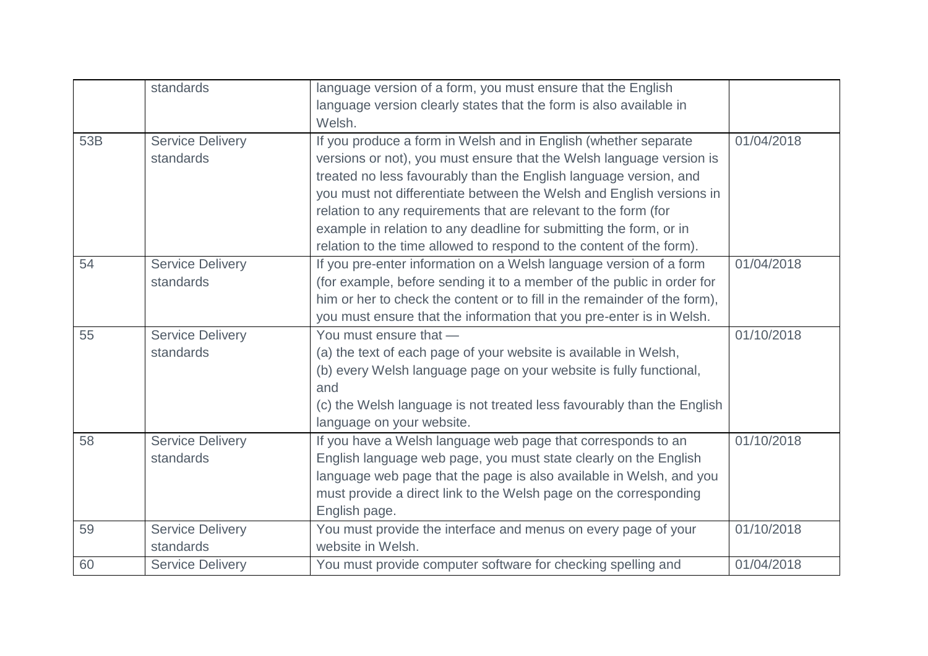|     | standards               | language version of a form, you must ensure that the English              |            |
|-----|-------------------------|---------------------------------------------------------------------------|------------|
|     |                         | language version clearly states that the form is also available in        |            |
|     |                         | Welsh.                                                                    |            |
| 53B | <b>Service Delivery</b> | If you produce a form in Welsh and in English (whether separate           | 01/04/2018 |
|     | standards               | versions or not), you must ensure that the Welsh language version is      |            |
|     |                         | treated no less favourably than the English language version, and         |            |
|     |                         | you must not differentiate between the Welsh and English versions in      |            |
|     |                         |                                                                           |            |
|     |                         | relation to any requirements that are relevant to the form (for           |            |
|     |                         | example in relation to any deadline for submitting the form, or in        |            |
|     |                         | relation to the time allowed to respond to the content of the form).      |            |
| 54  | <b>Service Delivery</b> | If you pre-enter information on a Welsh language version of a form        | 01/04/2018 |
|     | standards               | (for example, before sending it to a member of the public in order for    |            |
|     |                         | him or her to check the content or to fill in the remainder of the form), |            |
|     |                         | you must ensure that the information that you pre-enter is in Welsh.      |            |
| 55  | <b>Service Delivery</b> | You must ensure that -                                                    | 01/10/2018 |
|     | standards               | (a) the text of each page of your website is available in Welsh,          |            |
|     |                         | (b) every Welsh language page on your website is fully functional,        |            |
|     |                         | and                                                                       |            |
|     |                         | (c) the Welsh language is not treated less favourably than the English    |            |
|     |                         | language on your website.                                                 |            |
| 58  | <b>Service Delivery</b> | If you have a Welsh language web page that corresponds to an              | 01/10/2018 |
|     | standards               | English language web page, you must state clearly on the English          |            |
|     |                         | language web page that the page is also available in Welsh, and you       |            |
|     |                         | must provide a direct link to the Welsh page on the corresponding         |            |
|     |                         | English page.                                                             |            |
| 59  | <b>Service Delivery</b> | You must provide the interface and menus on every page of your            | 01/10/2018 |
|     | standards               | website in Welsh.                                                         |            |
| 60  | <b>Service Delivery</b> | You must provide computer software for checking spelling and              | 01/04/2018 |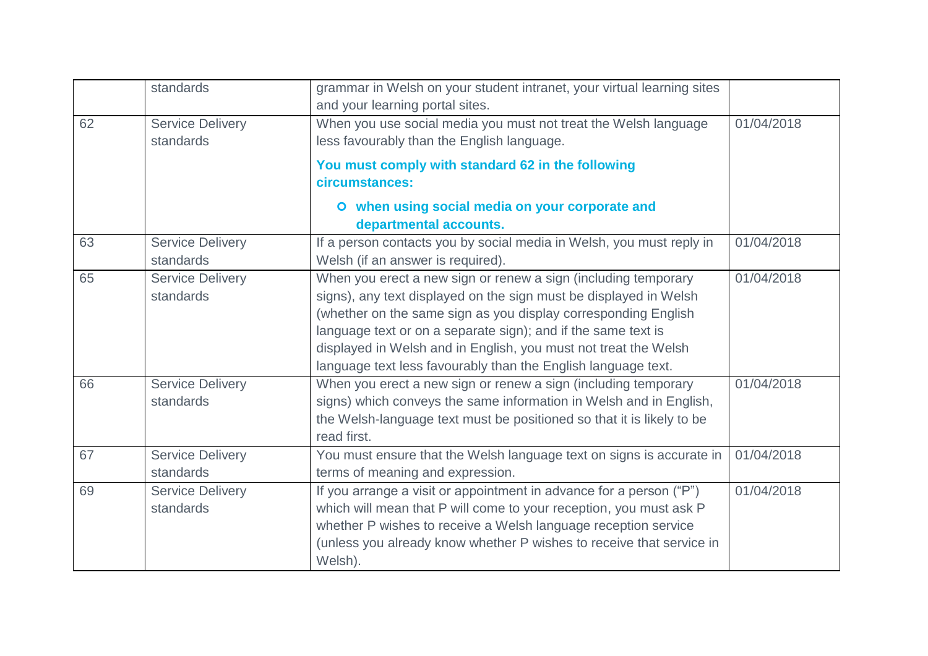|    | standards                            | grammar in Welsh on your student intranet, your virtual learning sites<br>and your learning portal sites.                                                                                                                                                                                                                                                                                                  |            |
|----|--------------------------------------|------------------------------------------------------------------------------------------------------------------------------------------------------------------------------------------------------------------------------------------------------------------------------------------------------------------------------------------------------------------------------------------------------------|------------|
| 62 | <b>Service Delivery</b><br>standards | When you use social media you must not treat the Welsh language<br>less favourably than the English language.<br>You must comply with standard 62 in the following<br>circumstances:                                                                                                                                                                                                                       | 01/04/2018 |
|    |                                      | O when using social media on your corporate and<br>departmental accounts.                                                                                                                                                                                                                                                                                                                                  |            |
| 63 | <b>Service Delivery</b><br>standards | If a person contacts you by social media in Welsh, you must reply in<br>Welsh (if an answer is required).                                                                                                                                                                                                                                                                                                  | 01/04/2018 |
| 65 | <b>Service Delivery</b><br>standards | When you erect a new sign or renew a sign (including temporary<br>signs), any text displayed on the sign must be displayed in Welsh<br>(whether on the same sign as you display corresponding English<br>language text or on a separate sign); and if the same text is<br>displayed in Welsh and in English, you must not treat the Welsh<br>language text less favourably than the English language text. | 01/04/2018 |
| 66 | <b>Service Delivery</b><br>standards | When you erect a new sign or renew a sign (including temporary<br>signs) which conveys the same information in Welsh and in English,<br>the Welsh-language text must be positioned so that it is likely to be<br>read first.                                                                                                                                                                               | 01/04/2018 |
| 67 | <b>Service Delivery</b><br>standards | You must ensure that the Welsh language text on signs is accurate in<br>terms of meaning and expression.                                                                                                                                                                                                                                                                                                   | 01/04/2018 |
| 69 | <b>Service Delivery</b><br>standards | If you arrange a visit or appointment in advance for a person ("P")<br>which will mean that P will come to your reception, you must ask P<br>whether P wishes to receive a Welsh language reception service<br>(unless you already know whether P wishes to receive that service in<br>Welsh).                                                                                                             | 01/04/2018 |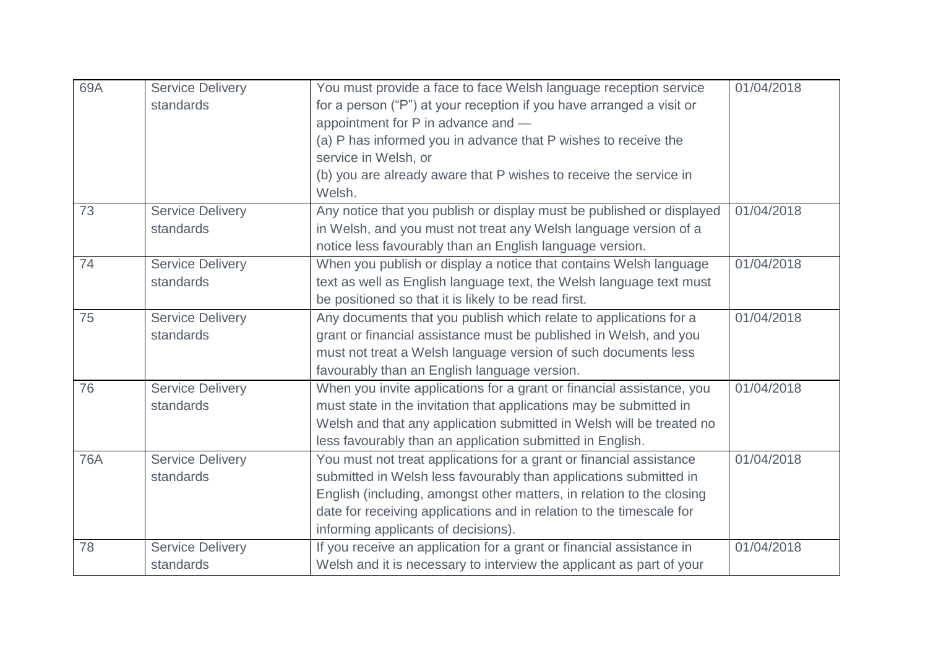| 69A        | <b>Service Delivery</b><br>standards | You must provide a face to face Welsh language reception service<br>for a person ("P") at your reception if you have arranged a visit or<br>appointment for P in advance and -<br>(a) P has informed you in advance that P wishes to receive the | 01/04/2018 |
|------------|--------------------------------------|--------------------------------------------------------------------------------------------------------------------------------------------------------------------------------------------------------------------------------------------------|------------|
|            |                                      | service in Welsh, or                                                                                                                                                                                                                             |            |
|            |                                      | (b) you are already aware that P wishes to receive the service in<br>Welsh.                                                                                                                                                                      |            |
| 73         | <b>Service Delivery</b>              | Any notice that you publish or display must be published or displayed                                                                                                                                                                            | 01/04/2018 |
|            | standards                            | in Welsh, and you must not treat any Welsh language version of a<br>notice less favourably than an English language version.                                                                                                                     |            |
| 74         | <b>Service Delivery</b>              | When you publish or display a notice that contains Welsh language                                                                                                                                                                                | 01/04/2018 |
|            | standards                            | text as well as English language text, the Welsh language text must                                                                                                                                                                              |            |
|            |                                      | be positioned so that it is likely to be read first.                                                                                                                                                                                             |            |
| 75         | <b>Service Delivery</b>              | Any documents that you publish which relate to applications for a                                                                                                                                                                                | 01/04/2018 |
|            | standards                            | grant or financial assistance must be published in Welsh, and you                                                                                                                                                                                |            |
|            |                                      | must not treat a Welsh language version of such documents less                                                                                                                                                                                   |            |
|            |                                      | favourably than an English language version.                                                                                                                                                                                                     |            |
| 76         | <b>Service Delivery</b>              | When you invite applications for a grant or financial assistance, you                                                                                                                                                                            | 01/04/2018 |
|            | standards                            | must state in the invitation that applications may be submitted in                                                                                                                                                                               |            |
|            |                                      | Welsh and that any application submitted in Welsh will be treated no                                                                                                                                                                             |            |
|            |                                      | less favourably than an application submitted in English.                                                                                                                                                                                        |            |
| <b>76A</b> | <b>Service Delivery</b>              | You must not treat applications for a grant or financial assistance                                                                                                                                                                              | 01/04/2018 |
|            | standards                            | submitted in Welsh less favourably than applications submitted in                                                                                                                                                                                |            |
|            |                                      | English (including, amongst other matters, in relation to the closing                                                                                                                                                                            |            |
|            |                                      | date for receiving applications and in relation to the timescale for                                                                                                                                                                             |            |
|            |                                      | informing applicants of decisions).                                                                                                                                                                                                              |            |
| 78         | <b>Service Delivery</b>              | If you receive an application for a grant or financial assistance in                                                                                                                                                                             | 01/04/2018 |
|            | standards                            | Welsh and it is necessary to interview the applicant as part of your                                                                                                                                                                             |            |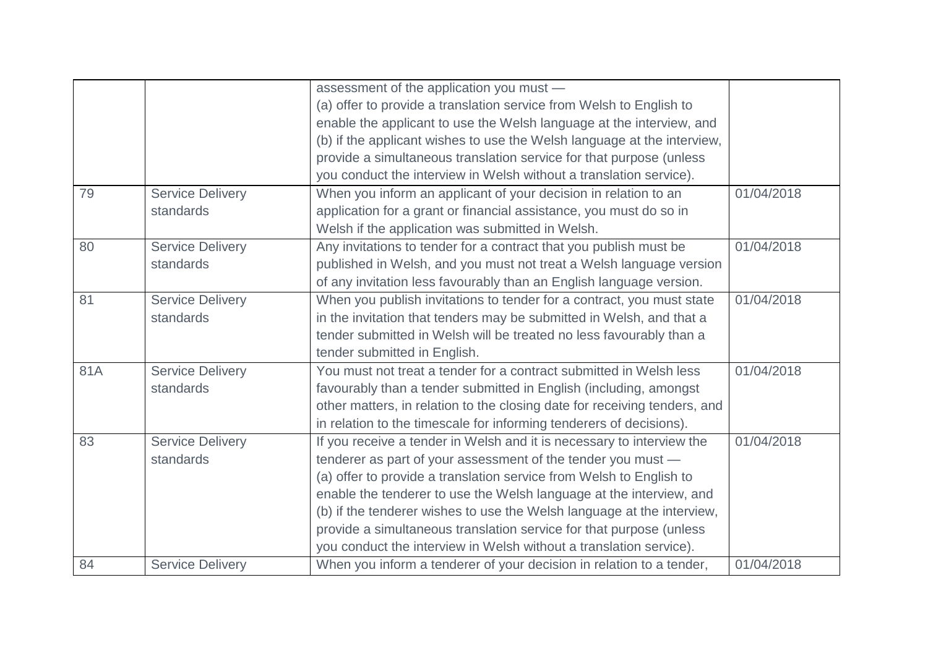|     |                         | assessment of the application you must -                                  |            |
|-----|-------------------------|---------------------------------------------------------------------------|------------|
|     |                         | (a) offer to provide a translation service from Welsh to English to       |            |
|     |                         | enable the applicant to use the Welsh language at the interview, and      |            |
|     |                         | (b) if the applicant wishes to use the Welsh language at the interview,   |            |
|     |                         | provide a simultaneous translation service for that purpose (unless       |            |
|     |                         | you conduct the interview in Welsh without a translation service).        |            |
| 79  | <b>Service Delivery</b> | When you inform an applicant of your decision in relation to an           | 01/04/2018 |
|     | standards               | application for a grant or financial assistance, you must do so in        |            |
|     |                         | Welsh if the application was submitted in Welsh.                          |            |
| 80  | <b>Service Delivery</b> | Any invitations to tender for a contract that you publish must be         | 01/04/2018 |
|     | standards               | published in Welsh, and you must not treat a Welsh language version       |            |
|     |                         | of any invitation less favourably than an English language version.       |            |
| 81  | <b>Service Delivery</b> | When you publish invitations to tender for a contract, you must state     | 01/04/2018 |
|     | standards               | in the invitation that tenders may be submitted in Welsh, and that a      |            |
|     |                         | tender submitted in Welsh will be treated no less favourably than a       |            |
|     |                         | tender submitted in English.                                              |            |
| 81A | <b>Service Delivery</b> | You must not treat a tender for a contract submitted in Welsh less        | 01/04/2018 |
|     | standards               | favourably than a tender submitted in English (including, amongst         |            |
|     |                         | other matters, in relation to the closing date for receiving tenders, and |            |
|     |                         | in relation to the timescale for informing tenderers of decisions).       |            |
| 83  | <b>Service Delivery</b> | If you receive a tender in Welsh and it is necessary to interview the     | 01/04/2018 |
|     | standards               | tenderer as part of your assessment of the tender you must -              |            |
|     |                         | (a) offer to provide a translation service from Welsh to English to       |            |
|     |                         | enable the tenderer to use the Welsh language at the interview, and       |            |
|     |                         | (b) if the tenderer wishes to use the Welsh language at the interview,    |            |
|     |                         | provide a simultaneous translation service for that purpose (unless       |            |
|     |                         | you conduct the interview in Welsh without a translation service).        |            |
| 84  | <b>Service Delivery</b> | When you inform a tenderer of your decision in relation to a tender,      | 01/04/2018 |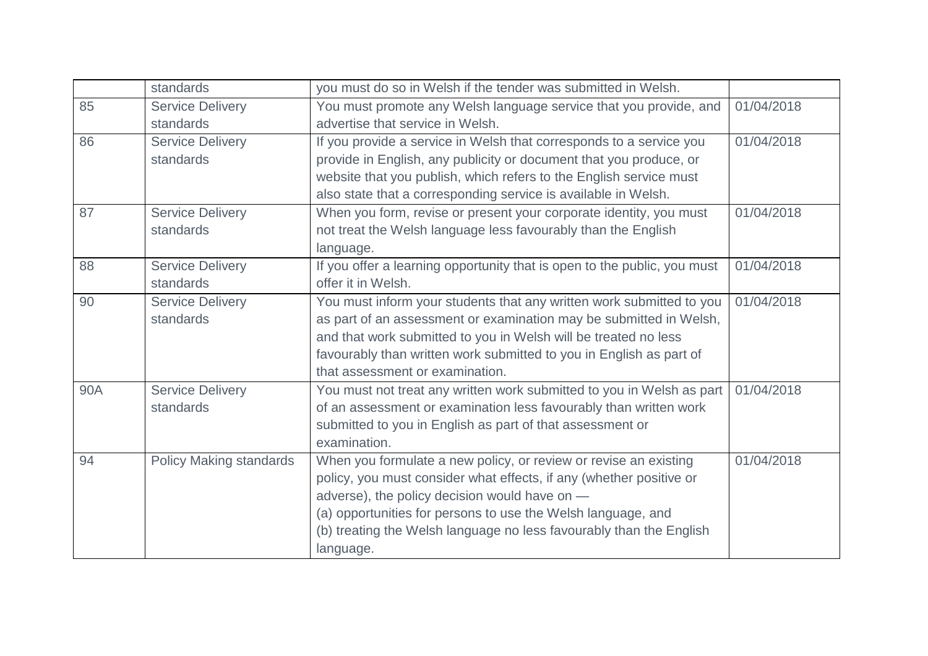|     | standards                      | you must do so in Welsh if the tender was submitted in Welsh.            |            |
|-----|--------------------------------|--------------------------------------------------------------------------|------------|
| 85  | <b>Service Delivery</b>        | You must promote any Welsh language service that you provide, and        | 01/04/2018 |
|     | standards                      | advertise that service in Welsh.                                         |            |
| 86  | <b>Service Delivery</b>        | If you provide a service in Welsh that corresponds to a service you      | 01/04/2018 |
|     | standards                      | provide in English, any publicity or document that you produce, or       |            |
|     |                                | website that you publish, which refers to the English service must       |            |
|     |                                | also state that a corresponding service is available in Welsh.           |            |
| 87  | <b>Service Delivery</b>        | When you form, revise or present your corporate identity, you must       | 01/04/2018 |
|     | standards                      | not treat the Welsh language less favourably than the English            |            |
|     |                                | language.                                                                |            |
| 88  | <b>Service Delivery</b>        | If you offer a learning opportunity that is open to the public, you must | 01/04/2018 |
|     | standards                      | offer it in Welsh.                                                       |            |
| 90  | <b>Service Delivery</b>        | You must inform your students that any written work submitted to you     | 01/04/2018 |
|     | standards                      | as part of an assessment or examination may be submitted in Welsh,       |            |
|     |                                | and that work submitted to you in Welsh will be treated no less          |            |
|     |                                | favourably than written work submitted to you in English as part of      |            |
|     |                                | that assessment or examination.                                          |            |
| 90A | <b>Service Delivery</b>        | You must not treat any written work submitted to you in Welsh as part    | 01/04/2018 |
|     | standards                      | of an assessment or examination less favourably than written work        |            |
|     |                                | submitted to you in English as part of that assessment or                |            |
|     |                                | examination.                                                             |            |
| 94  | <b>Policy Making standards</b> | When you formulate a new policy, or review or revise an existing         | 01/04/2018 |
|     |                                | policy, you must consider what effects, if any (whether positive or      |            |
|     |                                | adverse), the policy decision would have on -                            |            |
|     |                                | (a) opportunities for persons to use the Welsh language, and             |            |
|     |                                | (b) treating the Welsh language no less favourably than the English      |            |
|     |                                | language.                                                                |            |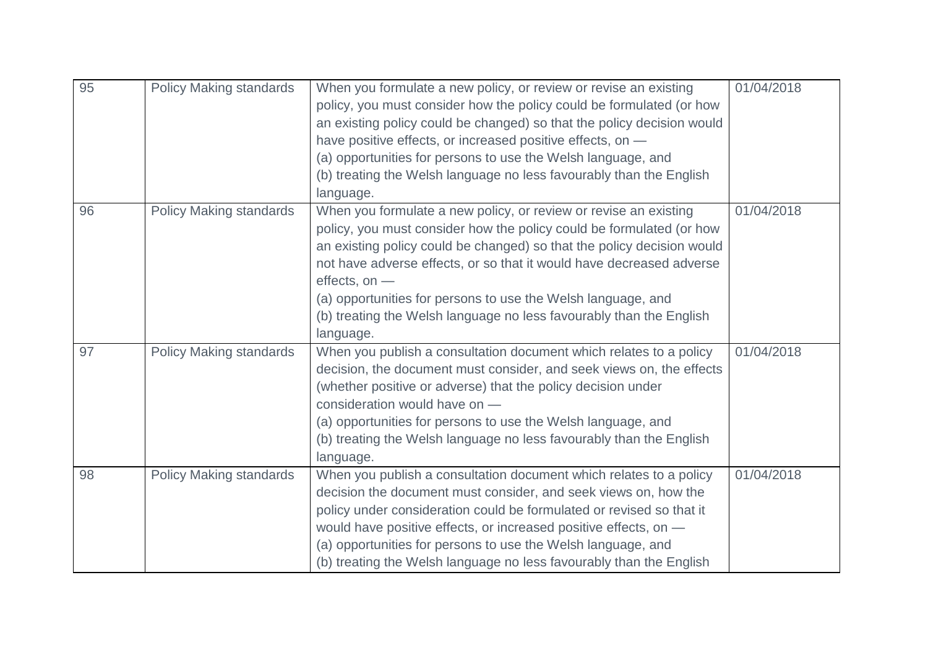| 95 | <b>Policy Making standards</b> | When you formulate a new policy, or review or revise an existing<br>policy, you must consider how the policy could be formulated (or how<br>an existing policy could be changed) so that the policy decision would<br>have positive effects, or increased positive effects, on -<br>(a) opportunities for persons to use the Welsh language, and<br>(b) treating the Welsh language no less favourably than the English<br>language.                            | 01/04/2018 |
|----|--------------------------------|-----------------------------------------------------------------------------------------------------------------------------------------------------------------------------------------------------------------------------------------------------------------------------------------------------------------------------------------------------------------------------------------------------------------------------------------------------------------|------------|
| 96 | <b>Policy Making standards</b> | When you formulate a new policy, or review or revise an existing<br>policy, you must consider how the policy could be formulated (or how<br>an existing policy could be changed) so that the policy decision would<br>not have adverse effects, or so that it would have decreased adverse<br>effects, on -<br>(a) opportunities for persons to use the Welsh language, and<br>(b) treating the Welsh language no less favourably than the English<br>language. | 01/04/2018 |
| 97 | <b>Policy Making standards</b> | When you publish a consultation document which relates to a policy<br>decision, the document must consider, and seek views on, the effects<br>(whether positive or adverse) that the policy decision under<br>consideration would have on -<br>(a) opportunities for persons to use the Welsh language, and<br>(b) treating the Welsh language no less favourably than the English<br>language.                                                                 | 01/04/2018 |
| 98 | <b>Policy Making standards</b> | When you publish a consultation document which relates to a policy<br>decision the document must consider, and seek views on, how the<br>policy under consideration could be formulated or revised so that it<br>would have positive effects, or increased positive effects, on $-$<br>(a) opportunities for persons to use the Welsh language, and<br>(b) treating the Welsh language no less favourably than the English                                      | 01/04/2018 |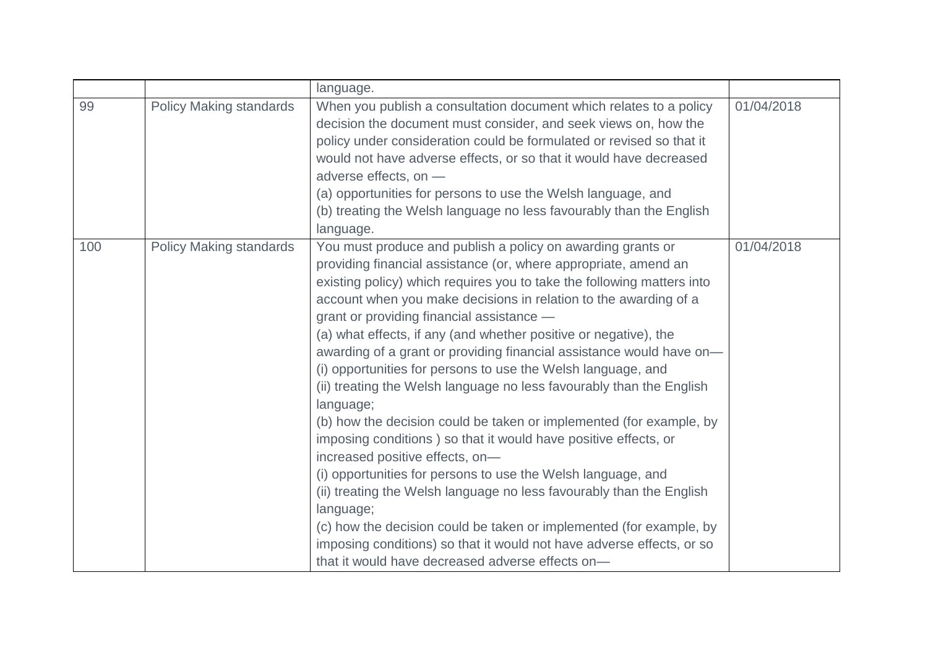|     |                                | language.                                                                                                                                                                                                                                                                                                                                                                                                                                                                                                                                                                                                                                                                                                                                                                                                                                                                                                                                                                                                                                                                                                                                                        |            |
|-----|--------------------------------|------------------------------------------------------------------------------------------------------------------------------------------------------------------------------------------------------------------------------------------------------------------------------------------------------------------------------------------------------------------------------------------------------------------------------------------------------------------------------------------------------------------------------------------------------------------------------------------------------------------------------------------------------------------------------------------------------------------------------------------------------------------------------------------------------------------------------------------------------------------------------------------------------------------------------------------------------------------------------------------------------------------------------------------------------------------------------------------------------------------------------------------------------------------|------------|
| 99  | <b>Policy Making standards</b> | When you publish a consultation document which relates to a policy<br>decision the document must consider, and seek views on, how the<br>policy under consideration could be formulated or revised so that it<br>would not have adverse effects, or so that it would have decreased<br>adverse effects, on -<br>(a) opportunities for persons to use the Welsh language, and<br>(b) treating the Welsh language no less favourably than the English<br>language.                                                                                                                                                                                                                                                                                                                                                                                                                                                                                                                                                                                                                                                                                                 | 01/04/2018 |
| 100 | <b>Policy Making standards</b> | You must produce and publish a policy on awarding grants or<br>providing financial assistance (or, where appropriate, amend an<br>existing policy) which requires you to take the following matters into<br>account when you make decisions in relation to the awarding of a<br>grant or providing financial assistance -<br>(a) what effects, if any (and whether positive or negative), the<br>awarding of a grant or providing financial assistance would have on-<br>(i) opportunities for persons to use the Welsh language, and<br>(ii) treating the Welsh language no less favourably than the English<br>language;<br>(b) how the decision could be taken or implemented (for example, by<br>imposing conditions) so that it would have positive effects, or<br>increased positive effects, on-<br>(i) opportunities for persons to use the Welsh language, and<br>(ii) treating the Welsh language no less favourably than the English<br>language;<br>(c) how the decision could be taken or implemented (for example, by<br>imposing conditions) so that it would not have adverse effects, or so<br>that it would have decreased adverse effects on- | 01/04/2018 |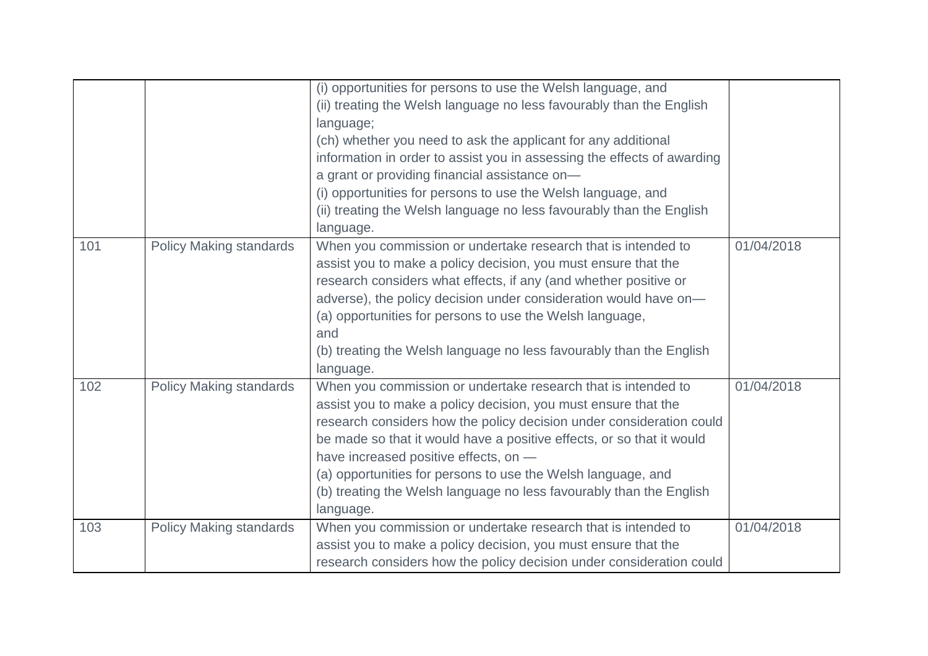|     |                                | (i) opportunities for persons to use the Welsh language, and            |            |
|-----|--------------------------------|-------------------------------------------------------------------------|------------|
|     |                                |                                                                         |            |
|     |                                | (ii) treating the Welsh language no less favourably than the English    |            |
|     |                                | language;                                                               |            |
|     |                                | (ch) whether you need to ask the applicant for any additional           |            |
|     |                                | information in order to assist you in assessing the effects of awarding |            |
|     |                                | a grant or providing financial assistance on-                           |            |
|     |                                | (i) opportunities for persons to use the Welsh language, and            |            |
|     |                                | (ii) treating the Welsh language no less favourably than the English    |            |
|     |                                | language.                                                               |            |
| 101 | <b>Policy Making standards</b> | When you commission or undertake research that is intended to           | 01/04/2018 |
|     |                                | assist you to make a policy decision, you must ensure that the          |            |
|     |                                | research considers what effects, if any (and whether positive or        |            |
|     |                                | adverse), the policy decision under consideration would have on-        |            |
|     |                                | (a) opportunities for persons to use the Welsh language,                |            |
|     |                                | and                                                                     |            |
|     |                                | (b) treating the Welsh language no less favourably than the English     |            |
|     |                                | language.                                                               |            |
| 102 | <b>Policy Making standards</b> | When you commission or undertake research that is intended to           | 01/04/2018 |
|     |                                | assist you to make a policy decision, you must ensure that the          |            |
|     |                                | research considers how the policy decision under consideration could    |            |
|     |                                | be made so that it would have a positive effects, or so that it would   |            |
|     |                                | have increased positive effects, on -                                   |            |
|     |                                |                                                                         |            |
|     |                                | (a) opportunities for persons to use the Welsh language, and            |            |
|     |                                | (b) treating the Welsh language no less favourably than the English     |            |
|     |                                | language.                                                               |            |
| 103 | <b>Policy Making standards</b> | When you commission or undertake research that is intended to           | 01/04/2018 |
|     |                                | assist you to make a policy decision, you must ensure that the          |            |
|     |                                | research considers how the policy decision under consideration could    |            |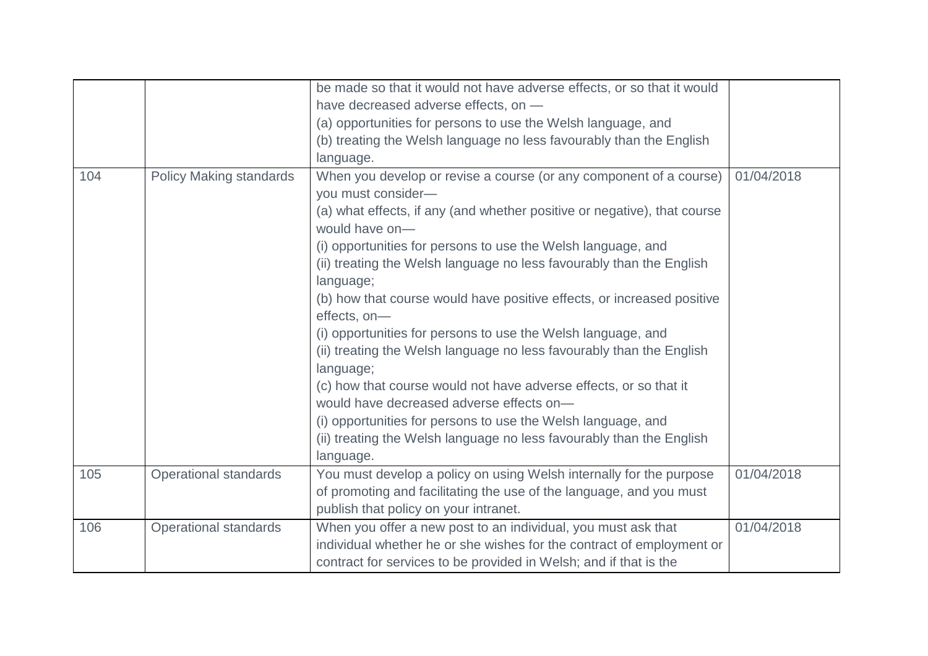|     |                                | be made so that it would not have adverse effects, or so that it would                     |            |
|-----|--------------------------------|--------------------------------------------------------------------------------------------|------------|
|     |                                | have decreased adverse effects, on -                                                       |            |
|     |                                | (a) opportunities for persons to use the Welsh language, and                               |            |
|     |                                | (b) treating the Welsh language no less favourably than the English                        |            |
|     |                                | language.                                                                                  |            |
| 104 | <b>Policy Making standards</b> | When you develop or revise a course (or any component of a course)                         | 01/04/2018 |
|     |                                | you must consider-                                                                         |            |
|     |                                | (a) what effects, if any (and whether positive or negative), that course<br>would have on- |            |
|     |                                | (i) opportunities for persons to use the Welsh language, and                               |            |
|     |                                | (ii) treating the Welsh language no less favourably than the English                       |            |
|     |                                | language;                                                                                  |            |
|     |                                | (b) how that course would have positive effects, or increased positive                     |            |
|     |                                | effects, on-                                                                               |            |
|     |                                | (i) opportunities for persons to use the Welsh language, and                               |            |
|     |                                | (ii) treating the Welsh language no less favourably than the English                       |            |
|     |                                | language;                                                                                  |            |
|     |                                | (c) how that course would not have adverse effects, or so that it                          |            |
|     |                                | would have decreased adverse effects on-                                                   |            |
|     |                                | (i) opportunities for persons to use the Welsh language, and                               |            |
|     |                                | (ii) treating the Welsh language no less favourably than the English                       |            |
|     |                                | language.                                                                                  |            |
| 105 | Operational standards          | You must develop a policy on using Welsh internally for the purpose                        | 01/04/2018 |
|     |                                | of promoting and facilitating the use of the language, and you must                        |            |
|     |                                | publish that policy on your intranet.                                                      |            |
| 106 | <b>Operational standards</b>   | When you offer a new post to an individual, you must ask that                              | 01/04/2018 |
|     |                                | individual whether he or she wishes for the contract of employment or                      |            |
|     |                                | contract for services to be provided in Welsh; and if that is the                          |            |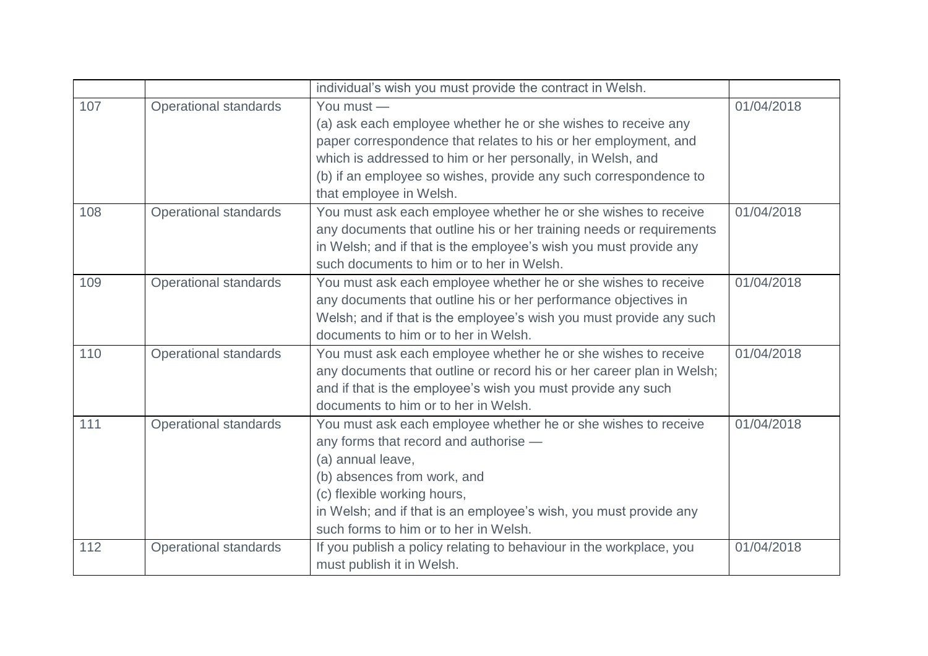|     |                              | individual's wish you must provide the contract in Welsh.                                                                                                                                                                                                                                                   |            |
|-----|------------------------------|-------------------------------------------------------------------------------------------------------------------------------------------------------------------------------------------------------------------------------------------------------------------------------------------------------------|------------|
| 107 | <b>Operational standards</b> | You must -<br>(a) ask each employee whether he or she wishes to receive any<br>paper correspondence that relates to his or her employment, and<br>which is addressed to him or her personally, in Welsh, and<br>(b) if an employee so wishes, provide any such correspondence to<br>that employee in Welsh. | 01/04/2018 |
| 108 | <b>Operational standards</b> | You must ask each employee whether he or she wishes to receive<br>any documents that outline his or her training needs or requirements<br>in Welsh; and if that is the employee's wish you must provide any<br>such documents to him or to her in Welsh.                                                    | 01/04/2018 |
| 109 | <b>Operational standards</b> | You must ask each employee whether he or she wishes to receive<br>any documents that outline his or her performance objectives in<br>Welsh; and if that is the employee's wish you must provide any such<br>documents to him or to her in Welsh.                                                            | 01/04/2018 |
| 110 | <b>Operational standards</b> | You must ask each employee whether he or she wishes to receive<br>any documents that outline or record his or her career plan in Welsh;<br>and if that is the employee's wish you must provide any such<br>documents to him or to her in Welsh.                                                             | 01/04/2018 |
| 111 | <b>Operational standards</b> | You must ask each employee whether he or she wishes to receive<br>any forms that record and authorise -<br>(a) annual leave,<br>(b) absences from work, and<br>(c) flexible working hours,<br>in Welsh; and if that is an employee's wish, you must provide any<br>such forms to him or to her in Welsh.    | 01/04/2018 |
| 112 | <b>Operational standards</b> | If you publish a policy relating to behaviour in the workplace, you<br>must publish it in Welsh.                                                                                                                                                                                                            | 01/04/2018 |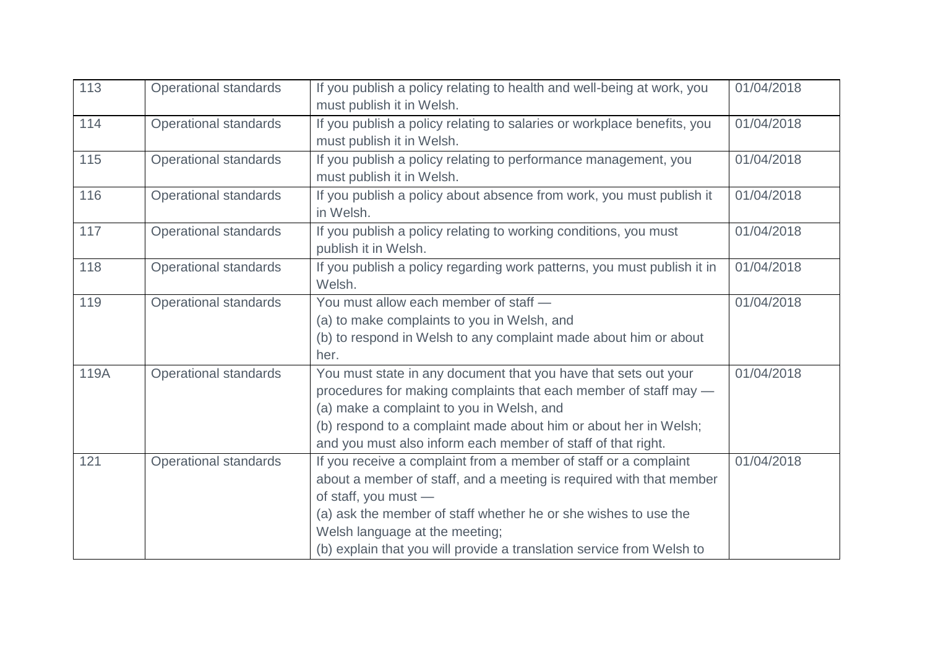| 113  | <b>Operational standards</b> | If you publish a policy relating to health and well-being at work, you<br>must publish it in Welsh.                                                                                                                                                                                                                                           | 01/04/2018 |
|------|------------------------------|-----------------------------------------------------------------------------------------------------------------------------------------------------------------------------------------------------------------------------------------------------------------------------------------------------------------------------------------------|------------|
| 114  | <b>Operational standards</b> | If you publish a policy relating to salaries or workplace benefits, you<br>must publish it in Welsh.                                                                                                                                                                                                                                          | 01/04/2018 |
| 115  | <b>Operational standards</b> | If you publish a policy relating to performance management, you<br>must publish it in Welsh.                                                                                                                                                                                                                                                  | 01/04/2018 |
| 116  | <b>Operational standards</b> | If you publish a policy about absence from work, you must publish it<br>in Welsh.                                                                                                                                                                                                                                                             | 01/04/2018 |
| 117  | <b>Operational standards</b> | If you publish a policy relating to working conditions, you must<br>publish it in Welsh.                                                                                                                                                                                                                                                      | 01/04/2018 |
| 118  | <b>Operational standards</b> | If you publish a policy regarding work patterns, you must publish it in<br>Welsh.                                                                                                                                                                                                                                                             | 01/04/2018 |
| 119  | <b>Operational standards</b> | You must allow each member of staff -<br>(a) to make complaints to you in Welsh, and<br>(b) to respond in Welsh to any complaint made about him or about<br>her.                                                                                                                                                                              | 01/04/2018 |
| 119A | <b>Operational standards</b> | You must state in any document that you have that sets out your<br>procedures for making complaints that each member of staff may -<br>(a) make a complaint to you in Welsh, and<br>(b) respond to a complaint made about him or about her in Welsh;<br>and you must also inform each member of staff of that right.                          | 01/04/2018 |
| 121  | <b>Operational standards</b> | If you receive a complaint from a member of staff or a complaint<br>about a member of staff, and a meeting is required with that member<br>of staff, you must -<br>(a) ask the member of staff whether he or she wishes to use the<br>Welsh language at the meeting;<br>(b) explain that you will provide a translation service from Welsh to | 01/04/2018 |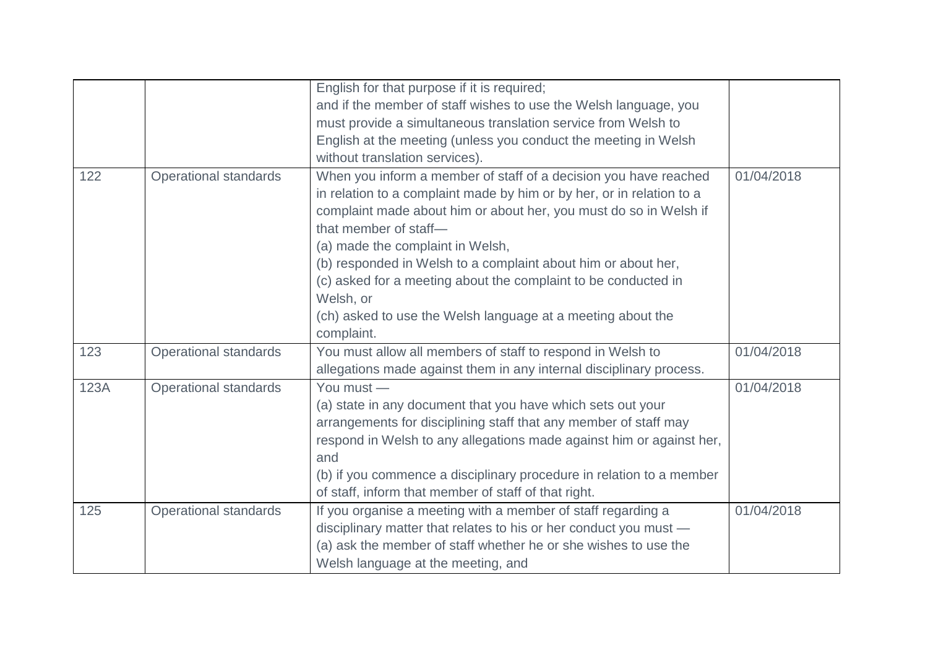|      |                              | English for that purpose if it is required;<br>and if the member of staff wishes to use the Welsh language, you<br>must provide a simultaneous translation service from Welsh to<br>English at the meeting (unless you conduct the meeting in Welsh<br>without translation services).                                                                                                                                                                                                                    |            |
|------|------------------------------|----------------------------------------------------------------------------------------------------------------------------------------------------------------------------------------------------------------------------------------------------------------------------------------------------------------------------------------------------------------------------------------------------------------------------------------------------------------------------------------------------------|------------|
| 122  | <b>Operational standards</b> | When you inform a member of staff of a decision you have reached<br>in relation to a complaint made by him or by her, or in relation to a<br>complaint made about him or about her, you must do so in Welsh if<br>that member of staff-<br>(a) made the complaint in Welsh,<br>(b) responded in Welsh to a complaint about him or about her,<br>(c) asked for a meeting about the complaint to be conducted in<br>Welsh, or<br>(ch) asked to use the Welsh language at a meeting about the<br>complaint. | 01/04/2018 |
| 123  | <b>Operational standards</b> | You must allow all members of staff to respond in Welsh to<br>allegations made against them in any internal disciplinary process.                                                                                                                                                                                                                                                                                                                                                                        | 01/04/2018 |
| 123A | <b>Operational standards</b> | You must -<br>(a) state in any document that you have which sets out your<br>arrangements for disciplining staff that any member of staff may<br>respond in Welsh to any allegations made against him or against her,<br>and<br>(b) if you commence a disciplinary procedure in relation to a member<br>of staff, inform that member of staff of that right.                                                                                                                                             | 01/04/2018 |
| 125  | <b>Operational standards</b> | If you organise a meeting with a member of staff regarding a<br>disciplinary matter that relates to his or her conduct you must -<br>(a) ask the member of staff whether he or she wishes to use the<br>Welsh language at the meeting, and                                                                                                                                                                                                                                                               | 01/04/2018 |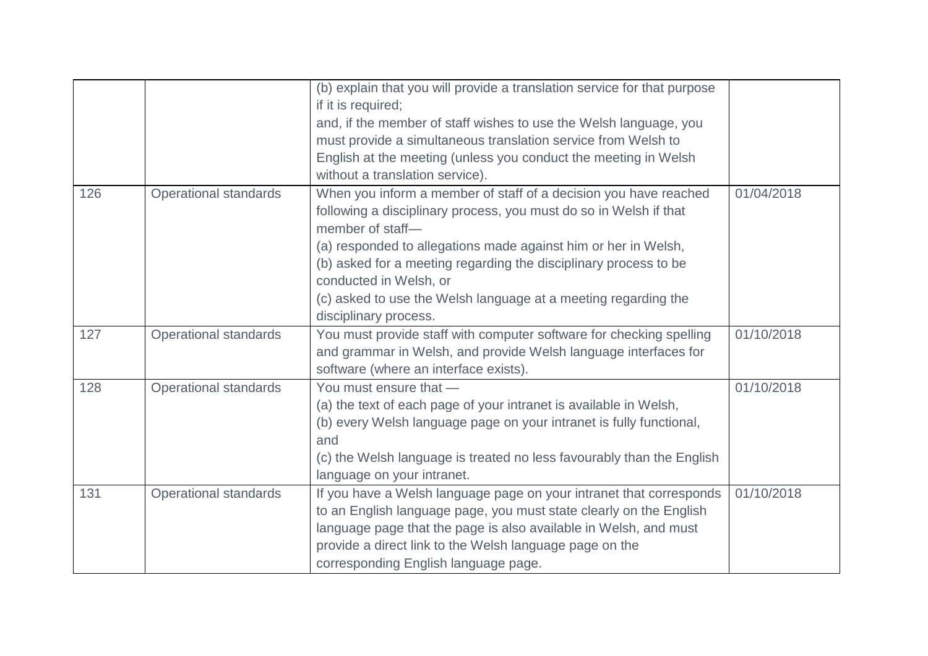|     |                              | (b) explain that you will provide a translation service for that purpose<br>if it is required; |            |
|-----|------------------------------|------------------------------------------------------------------------------------------------|------------|
|     |                              | and, if the member of staff wishes to use the Welsh language, you                              |            |
|     |                              | must provide a simultaneous translation service from Welsh to                                  |            |
|     |                              | English at the meeting (unless you conduct the meeting in Welsh                                |            |
|     |                              | without a translation service).                                                                |            |
| 126 | <b>Operational standards</b> | When you inform a member of staff of a decision you have reached                               | 01/04/2018 |
|     |                              | following a disciplinary process, you must do so in Welsh if that<br>member of staff-          |            |
|     |                              | (a) responded to allegations made against him or her in Welsh,                                 |            |
|     |                              | (b) asked for a meeting regarding the disciplinary process to be<br>conducted in Welsh, or     |            |
|     |                              | (c) asked to use the Welsh language at a meeting regarding the                                 |            |
|     |                              | disciplinary process.                                                                          |            |
| 127 | <b>Operational standards</b> | You must provide staff with computer software for checking spelling                            | 01/10/2018 |
|     |                              | and grammar in Welsh, and provide Welsh language interfaces for                                |            |
|     |                              | software (where an interface exists).                                                          |            |
| 128 | Operational standards        | You must ensure that -                                                                         | 01/10/2018 |
|     |                              | (a) the text of each page of your intranet is available in Welsh,                              |            |
|     |                              | (b) every Welsh language page on your intranet is fully functional,                            |            |
|     |                              | and                                                                                            |            |
|     |                              | (c) the Welsh language is treated no less favourably than the English                          |            |
|     |                              | language on your intranet.                                                                     |            |
| 131 | Operational standards        | If you have a Welsh language page on your intranet that corresponds                            | 01/10/2018 |
|     |                              | to an English language page, you must state clearly on the English                             |            |
|     |                              | language page that the page is also available in Welsh, and must                               |            |
|     |                              | provide a direct link to the Welsh language page on the                                        |            |
|     |                              | corresponding English language page.                                                           |            |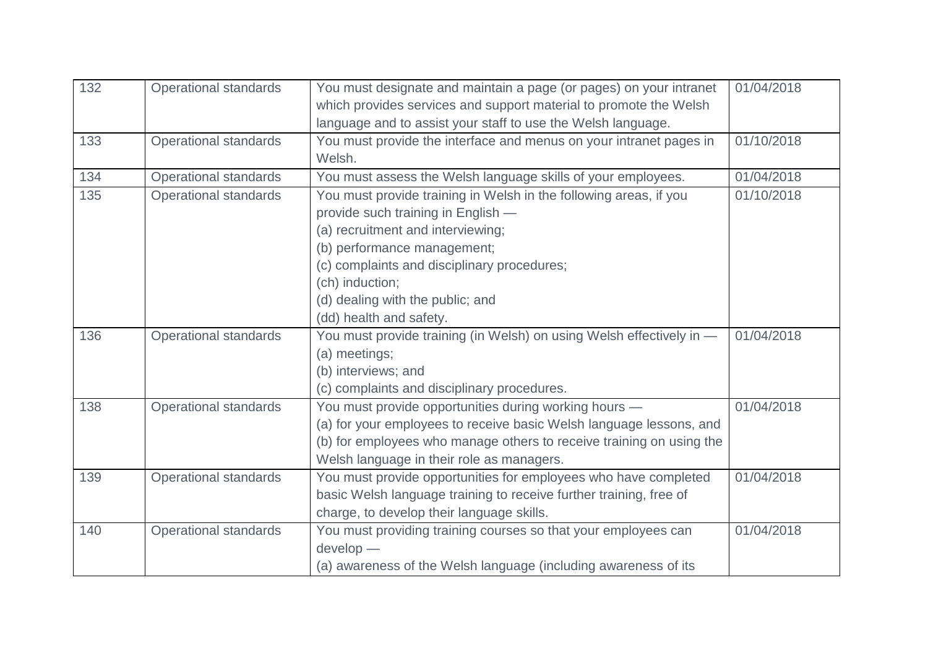| 132 | <b>Operational standards</b> | You must designate and maintain a page (or pages) on your intranet   | 01/04/2018 |
|-----|------------------------------|----------------------------------------------------------------------|------------|
|     |                              | which provides services and support material to promote the Welsh    |            |
|     |                              | language and to assist your staff to use the Welsh language.         |            |
| 133 | <b>Operational standards</b> | You must provide the interface and menus on your intranet pages in   | 01/10/2018 |
|     |                              | Welsh.                                                               |            |
| 134 | <b>Operational standards</b> | You must assess the Welsh language skills of your employees.         | 01/04/2018 |
| 135 | <b>Operational standards</b> | You must provide training in Welsh in the following areas, if you    | 01/10/2018 |
|     |                              | provide such training in English -                                   |            |
|     |                              | (a) recruitment and interviewing;                                    |            |
|     |                              | (b) performance management;                                          |            |
|     |                              | (c) complaints and disciplinary procedures;                          |            |
|     |                              | (ch) induction;                                                      |            |
|     |                              | (d) dealing with the public; and                                     |            |
|     |                              | (dd) health and safety.                                              |            |
| 136 | <b>Operational standards</b> | You must provide training (in Welsh) on using Welsh effectively in - | 01/04/2018 |
|     |                              | (a) meetings;                                                        |            |
|     |                              | (b) interviews; and                                                  |            |
|     |                              | (c) complaints and disciplinary procedures.                          |            |
| 138 | <b>Operational standards</b> | You must provide opportunities during working hours -                | 01/04/2018 |
|     |                              | (a) for your employees to receive basic Welsh language lessons, and  |            |
|     |                              | (b) for employees who manage others to receive training on using the |            |
|     |                              | Welsh language in their role as managers.                            |            |
| 139 | <b>Operational standards</b> | You must provide opportunities for employees who have completed      | 01/04/2018 |
|     |                              | basic Welsh language training to receive further training, free of   |            |
|     |                              | charge, to develop their language skills.                            |            |
| 140 | <b>Operational standards</b> | You must providing training courses so that your employees can       | 01/04/2018 |
|     |                              | $develop -$                                                          |            |
|     |                              | (a) awareness of the Welsh language (including awareness of its      |            |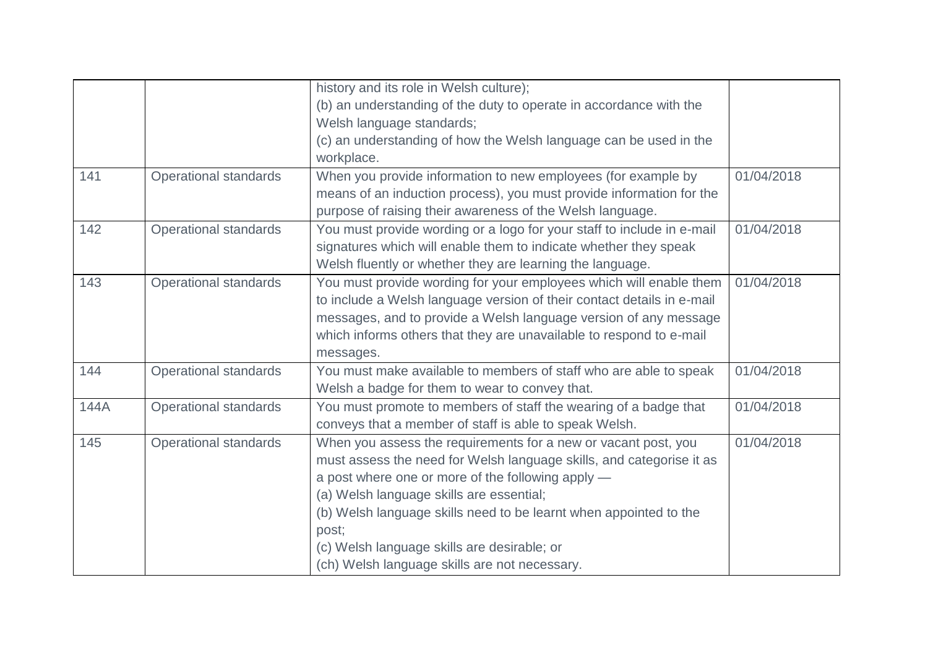|      |                              | history and its role in Welsh culture);                                |            |
|------|------------------------------|------------------------------------------------------------------------|------------|
|      |                              | (b) an understanding of the duty to operate in accordance with the     |            |
|      |                              | Welsh language standards;                                              |            |
|      |                              | (c) an understanding of how the Welsh language can be used in the      |            |
|      |                              | workplace.                                                             |            |
| 141  | <b>Operational standards</b> | When you provide information to new employees (for example by          | 01/04/2018 |
|      |                              | means of an induction process), you must provide information for the   |            |
|      |                              | purpose of raising their awareness of the Welsh language.              |            |
| 142  | <b>Operational standards</b> | You must provide wording or a logo for your staff to include in e-mail | 01/04/2018 |
|      |                              | signatures which will enable them to indicate whether they speak       |            |
|      |                              | Welsh fluently or whether they are learning the language.              |            |
| 143  | <b>Operational standards</b> | You must provide wording for your employees which will enable them     | 01/04/2018 |
|      |                              | to include a Welsh language version of their contact details in e-mail |            |
|      |                              | messages, and to provide a Welsh language version of any message       |            |
|      |                              | which informs others that they are unavailable to respond to e-mail    |            |
|      |                              | messages.                                                              |            |
| 144  | <b>Operational standards</b> | You must make available to members of staff who are able to speak      | 01/04/2018 |
|      |                              | Welsh a badge for them to wear to convey that.                         |            |
| 144A | <b>Operational standards</b> | You must promote to members of staff the wearing of a badge that       | 01/04/2018 |
|      |                              | conveys that a member of staff is able to speak Welsh.                 |            |
| 145  | <b>Operational standards</b> | When you assess the requirements for a new or vacant post, you         | 01/04/2018 |
|      |                              | must assess the need for Welsh language skills, and categorise it as   |            |
|      |                              | a post where one or more of the following apply -                      |            |
|      |                              | (a) Welsh language skills are essential;                               |            |
|      |                              | (b) Welsh language skills need to be learnt when appointed to the      |            |
|      |                              | post;                                                                  |            |
|      |                              | (c) Welsh language skills are desirable; or                            |            |
|      |                              | (ch) Welsh language skills are not necessary.                          |            |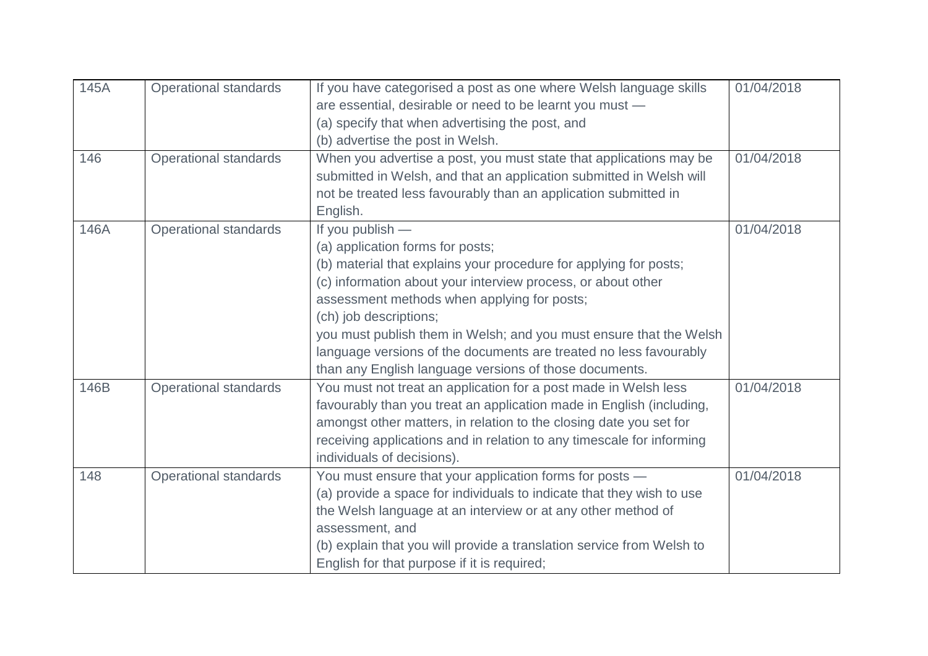| 145A | <b>Operational standards</b> | If you have categorised a post as one where Welsh language skills<br>are essential, desirable or need to be learnt you must -             | 01/04/2018 |
|------|------------------------------|-------------------------------------------------------------------------------------------------------------------------------------------|------------|
|      |                              | (a) specify that when advertising the post, and                                                                                           |            |
|      |                              | (b) advertise the post in Welsh.                                                                                                          |            |
| 146  | <b>Operational standards</b> | When you advertise a post, you must state that applications may be<br>submitted in Welsh, and that an application submitted in Welsh will | 01/04/2018 |
|      |                              | not be treated less favourably than an application submitted in                                                                           |            |
|      |                              | English.                                                                                                                                  |            |
| 146A | <b>Operational standards</b> | If you publish -<br>(a) application forms for posts;                                                                                      | 01/04/2018 |
|      |                              | (b) material that explains your procedure for applying for posts;                                                                         |            |
|      |                              | (c) information about your interview process, or about other                                                                              |            |
|      |                              | assessment methods when applying for posts;<br>(ch) job descriptions;                                                                     |            |
|      |                              | you must publish them in Welsh; and you must ensure that the Welsh                                                                        |            |
|      |                              | language versions of the documents are treated no less favourably                                                                         |            |
|      |                              | than any English language versions of those documents.                                                                                    |            |
| 146B | <b>Operational standards</b> | You must not treat an application for a post made in Welsh less<br>favourably than you treat an application made in English (including,   | 01/04/2018 |
|      |                              | amongst other matters, in relation to the closing date you set for                                                                        |            |
|      |                              | receiving applications and in relation to any timescale for informing                                                                     |            |
|      |                              | individuals of decisions).                                                                                                                |            |
| 148  | <b>Operational standards</b> | You must ensure that your application forms for posts -                                                                                   | 01/04/2018 |
|      |                              | (a) provide a space for individuals to indicate that they wish to use                                                                     |            |
|      |                              | the Welsh language at an interview or at any other method of                                                                              |            |
|      |                              | assessment, and                                                                                                                           |            |
|      |                              | (b) explain that you will provide a translation service from Welsh to                                                                     |            |
|      |                              | English for that purpose if it is required;                                                                                               |            |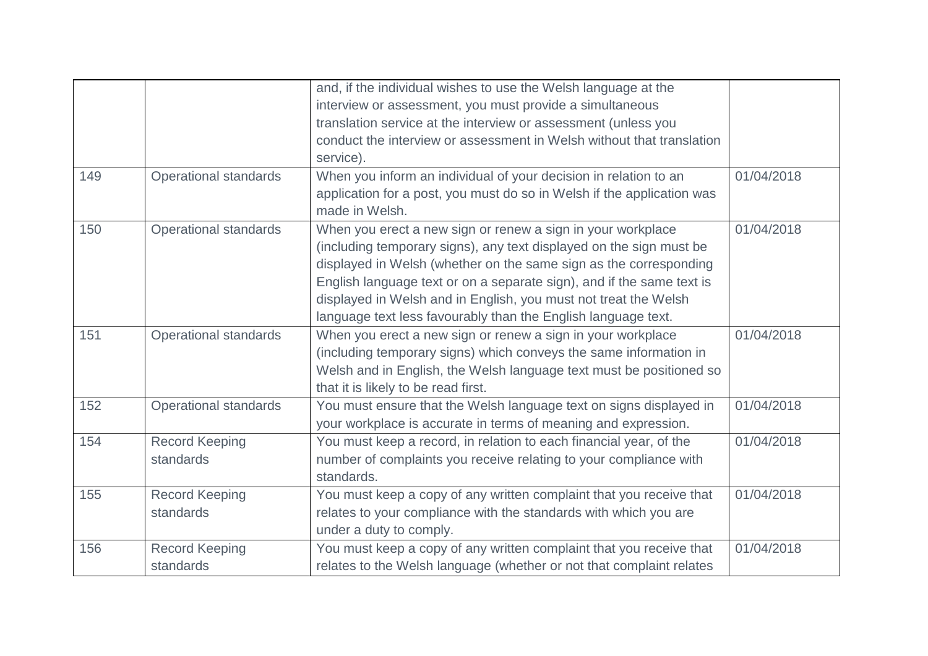|     |                              | and, if the individual wishes to use the Welsh language at the         |            |
|-----|------------------------------|------------------------------------------------------------------------|------------|
|     |                              | interview or assessment, you must provide a simultaneous               |            |
|     |                              | translation service at the interview or assessment (unless you         |            |
|     |                              | conduct the interview or assessment in Welsh without that translation  |            |
|     |                              | service).                                                              |            |
| 149 | <b>Operational standards</b> | When you inform an individual of your decision in relation to an       | 01/04/2018 |
|     |                              | application for a post, you must do so in Welsh if the application was |            |
|     |                              | made in Welsh.                                                         |            |
| 150 | <b>Operational standards</b> | When you erect a new sign or renew a sign in your workplace            | 01/04/2018 |
|     |                              | (including temporary signs), any text displayed on the sign must be    |            |
|     |                              | displayed in Welsh (whether on the same sign as the corresponding      |            |
|     |                              | English language text or on a separate sign), and if the same text is  |            |
|     |                              | displayed in Welsh and in English, you must not treat the Welsh        |            |
|     |                              | language text less favourably than the English language text.          |            |
| 151 | <b>Operational standards</b> | When you erect a new sign or renew a sign in your workplace            | 01/04/2018 |
|     |                              | (including temporary signs) which conveys the same information in      |            |
|     |                              | Welsh and in English, the Welsh language text must be positioned so    |            |
|     |                              | that it is likely to be read first.                                    |            |
| 152 | <b>Operational standards</b> | You must ensure that the Welsh language text on signs displayed in     | 01/04/2018 |
|     |                              | your workplace is accurate in terms of meaning and expression.         |            |
| 154 | <b>Record Keeping</b>        | You must keep a record, in relation to each financial year, of the     | 01/04/2018 |
|     | standards                    | number of complaints you receive relating to your compliance with      |            |
|     |                              | standards.                                                             |            |
| 155 | <b>Record Keeping</b>        | You must keep a copy of any written complaint that you receive that    | 01/04/2018 |
|     | standards                    | relates to your compliance with the standards with which you are       |            |
|     |                              | under a duty to comply.                                                |            |
| 156 | <b>Record Keeping</b>        | You must keep a copy of any written complaint that you receive that    | 01/04/2018 |
|     | standards                    | relates to the Welsh language (whether or not that complaint relates   |            |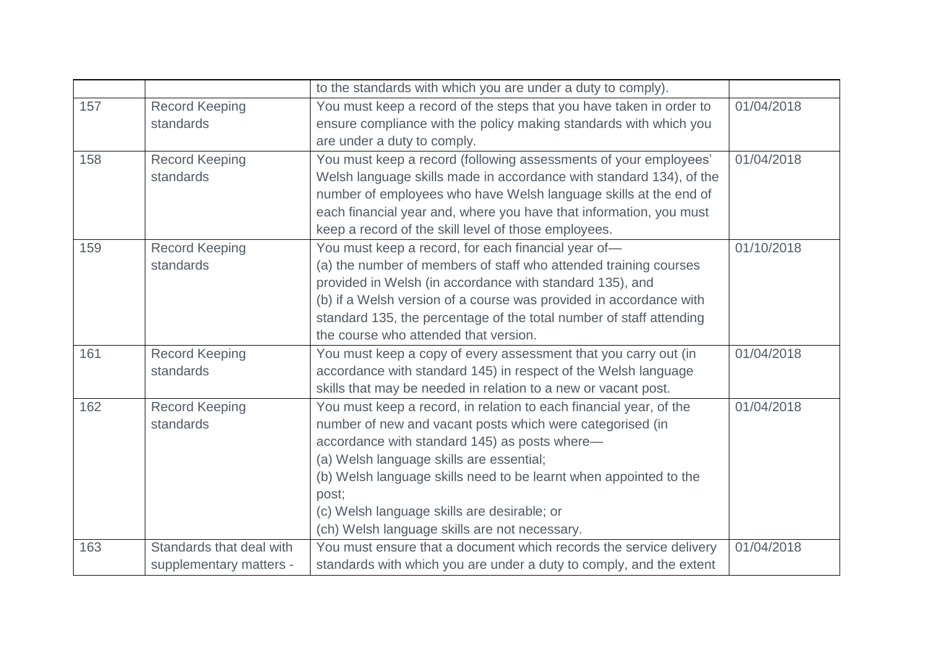|     |                          | to the standards with which you are under a duty to comply).        |            |
|-----|--------------------------|---------------------------------------------------------------------|------------|
| 157 | <b>Record Keeping</b>    | You must keep a record of the steps that you have taken in order to | 01/04/2018 |
|     | standards                | ensure compliance with the policy making standards with which you   |            |
|     |                          | are under a duty to comply.                                         |            |
| 158 | <b>Record Keeping</b>    | You must keep a record (following assessments of your employees'    | 01/04/2018 |
|     | standards                | Welsh language skills made in accordance with standard 134), of the |            |
|     |                          | number of employees who have Welsh language skills at the end of    |            |
|     |                          | each financial year and, where you have that information, you must  |            |
|     |                          | keep a record of the skill level of those employees.                |            |
| 159 | <b>Record Keeping</b>    | You must keep a record, for each financial year of-                 | 01/10/2018 |
|     | standards                | (a) the number of members of staff who attended training courses    |            |
|     |                          | provided in Welsh (in accordance with standard 135), and            |            |
|     |                          | (b) if a Welsh version of a course was provided in accordance with  |            |
|     |                          | standard 135, the percentage of the total number of staff attending |            |
|     |                          | the course who attended that version.                               |            |
| 161 | <b>Record Keeping</b>    | You must keep a copy of every assessment that you carry out (in     | 01/04/2018 |
|     | standards                | accordance with standard 145) in respect of the Welsh language      |            |
|     |                          | skills that may be needed in relation to a new or vacant post.      |            |
| 162 | <b>Record Keeping</b>    | You must keep a record, in relation to each financial year, of the  | 01/04/2018 |
|     | standards                | number of new and vacant posts which were categorised (in           |            |
|     |                          | accordance with standard 145) as posts where-                       |            |
|     |                          | (a) Welsh language skills are essential;                            |            |
|     |                          | (b) Welsh language skills need to be learnt when appointed to the   |            |
|     |                          | post;                                                               |            |
|     |                          | (c) Welsh language skills are desirable; or                         |            |
|     |                          | (ch) Welsh language skills are not necessary.                       |            |
| 163 | Standards that deal with | You must ensure that a document which records the service delivery  | 01/04/2018 |
|     | supplementary matters -  | standards with which you are under a duty to comply, and the extent |            |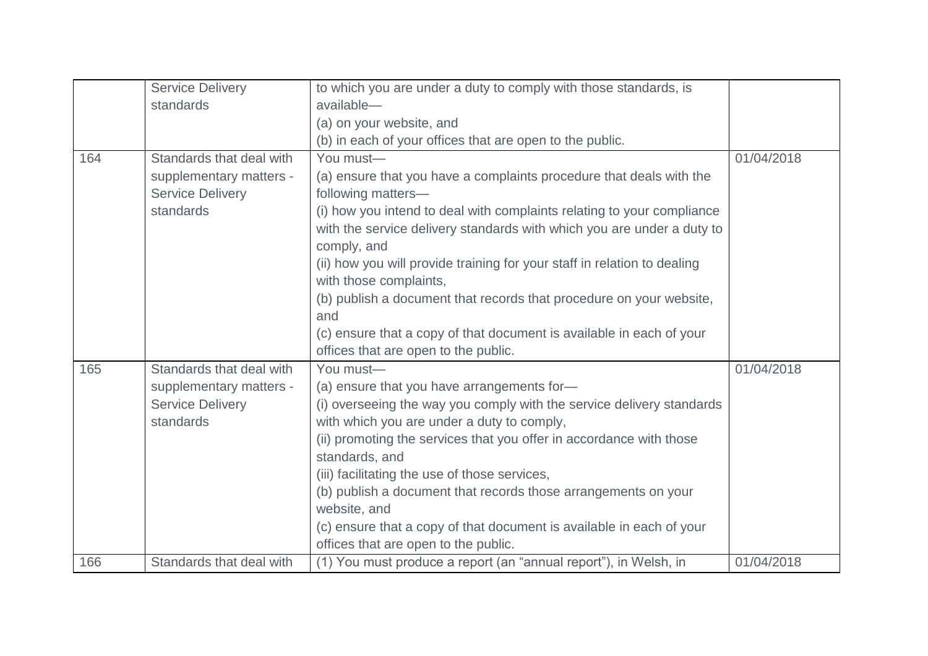|     | <b>Service Delivery</b>                                         | to which you are under a duty to comply with those standards, is                                                                                                  |            |
|-----|-----------------------------------------------------------------|-------------------------------------------------------------------------------------------------------------------------------------------------------------------|------------|
|     | standards                                                       | available-                                                                                                                                                        |            |
|     |                                                                 | (a) on your website, and                                                                                                                                          |            |
|     |                                                                 | (b) in each of your offices that are open to the public.                                                                                                          |            |
| 164 | Standards that deal with                                        | You must-                                                                                                                                                         | 01/04/2018 |
|     | supplementary matters -<br><b>Service Delivery</b>              | (a) ensure that you have a complaints procedure that deals with the<br>following matters-                                                                         |            |
|     | standards                                                       | (i) how you intend to deal with complaints relating to your compliance<br>with the service delivery standards with which you are under a duty to<br>comply, and   |            |
|     |                                                                 | (ii) how you will provide training for your staff in relation to dealing<br>with those complaints,                                                                |            |
|     |                                                                 | (b) publish a document that records that procedure on your website,<br>and                                                                                        |            |
|     |                                                                 | (c) ensure that a copy of that document is available in each of your<br>offices that are open to the public.                                                      |            |
| 165 | Standards that deal with                                        | You must-                                                                                                                                                         | 01/04/2018 |
|     | supplementary matters -<br><b>Service Delivery</b><br>standards | (a) ensure that you have arrangements for-<br>(i) overseeing the way you comply with the service delivery standards<br>with which you are under a duty to comply, |            |
|     |                                                                 | (ii) promoting the services that you offer in accordance with those<br>standards, and                                                                             |            |
|     |                                                                 | (iii) facilitating the use of those services,<br>(b) publish a document that records those arrangements on your                                                   |            |
|     |                                                                 | website, and                                                                                                                                                      |            |
|     |                                                                 | (c) ensure that a copy of that document is available in each of your                                                                                              |            |
|     |                                                                 | offices that are open to the public.                                                                                                                              |            |
| 166 | Standards that deal with                                        | (1) You must produce a report (an "annual report"), in Welsh, in                                                                                                  | 01/04/2018 |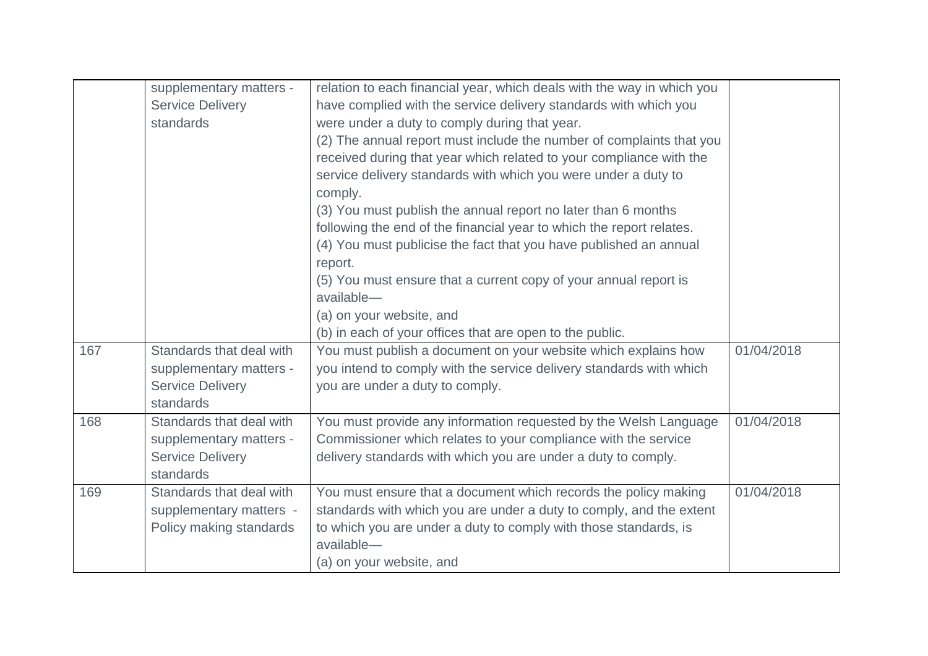|     | supplementary matters -  | relation to each financial year, which deals with the way in which you |            |
|-----|--------------------------|------------------------------------------------------------------------|------------|
|     | <b>Service Delivery</b>  | have complied with the service delivery standards with which you       |            |
|     | standards                | were under a duty to comply during that year.                          |            |
|     |                          | (2) The annual report must include the number of complaints that you   |            |
|     |                          | received during that year which related to your compliance with the    |            |
|     |                          | service delivery standards with which you were under a duty to         |            |
|     |                          | comply.                                                                |            |
|     |                          | (3) You must publish the annual report no later than 6 months          |            |
|     |                          | following the end of the financial year to which the report relates.   |            |
|     |                          | (4) You must publicise the fact that you have published an annual      |            |
|     |                          | report.                                                                |            |
|     |                          | (5) You must ensure that a current copy of your annual report is       |            |
|     |                          | available-                                                             |            |
|     |                          | (a) on your website, and                                               |            |
|     |                          | (b) in each of your offices that are open to the public.               |            |
| 167 | Standards that deal with | You must publish a document on your website which explains how         | 01/04/2018 |
|     | supplementary matters -  | you intend to comply with the service delivery standards with which    |            |
|     | <b>Service Delivery</b>  | you are under a duty to comply.                                        |            |
|     | standards                |                                                                        |            |
| 168 | Standards that deal with | You must provide any information requested by the Welsh Language       | 01/04/2018 |
|     | supplementary matters -  | Commissioner which relates to your compliance with the service         |            |
|     | <b>Service Delivery</b>  | delivery standards with which you are under a duty to comply.          |            |
|     | standards                |                                                                        |            |
| 169 | Standards that deal with | You must ensure that a document which records the policy making        | 01/04/2018 |
|     | supplementary matters -  | standards with which you are under a duty to comply, and the extent    |            |
|     | Policy making standards  | to which you are under a duty to comply with those standards, is       |            |
|     |                          | available-                                                             |            |
|     |                          | (a) on your website, and                                               |            |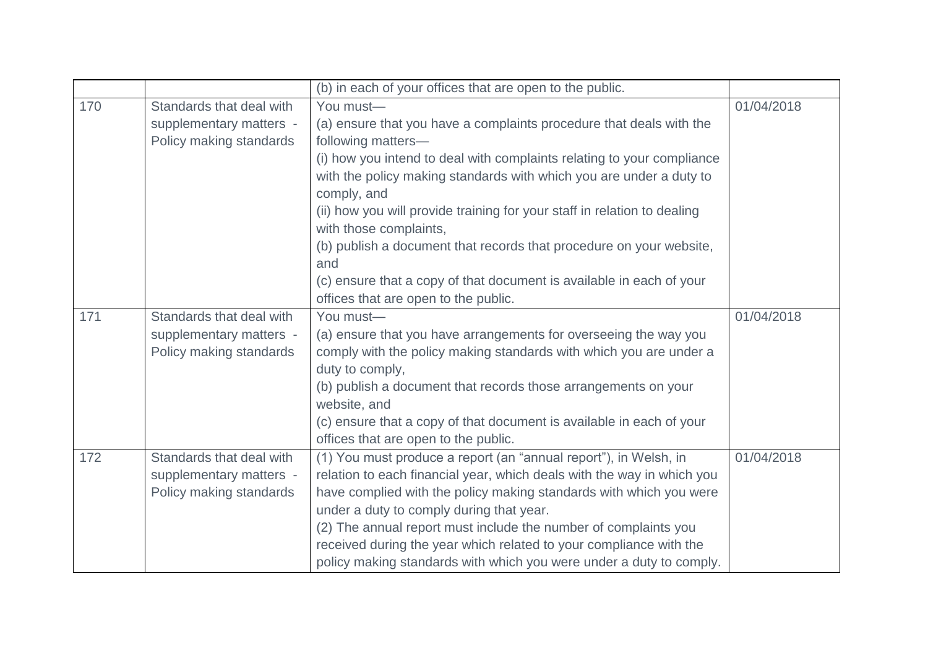|     |                          | (b) in each of your offices that are open to the public.                 |            |
|-----|--------------------------|--------------------------------------------------------------------------|------------|
| 170 | Standards that deal with | You must-                                                                | 01/04/2018 |
|     | supplementary matters -  | (a) ensure that you have a complaints procedure that deals with the      |            |
|     | Policy making standards  | following matters-                                                       |            |
|     |                          | (i) how you intend to deal with complaints relating to your compliance   |            |
|     |                          | with the policy making standards with which you are under a duty to      |            |
|     |                          | comply, and                                                              |            |
|     |                          | (ii) how you will provide training for your staff in relation to dealing |            |
|     |                          | with those complaints,                                                   |            |
|     |                          | (b) publish a document that records that procedure on your website,      |            |
|     |                          | and                                                                      |            |
|     |                          | (c) ensure that a copy of that document is available in each of your     |            |
|     |                          | offices that are open to the public.                                     |            |
| 171 | Standards that deal with | You must-                                                                | 01/04/2018 |
|     | supplementary matters -  | (a) ensure that you have arrangements for overseeing the way you         |            |
|     | Policy making standards  | comply with the policy making standards with which you are under a       |            |
|     |                          | duty to comply,                                                          |            |
|     |                          | (b) publish a document that records those arrangements on your           |            |
|     |                          | website, and                                                             |            |
|     |                          | (c) ensure that a copy of that document is available in each of your     |            |
|     |                          | offices that are open to the public.                                     |            |
| 172 | Standards that deal with | (1) You must produce a report (an "annual report"), in Welsh, in         | 01/04/2018 |
|     | supplementary matters -  | relation to each financial year, which deals with the way in which you   |            |
|     | Policy making standards  | have complied with the policy making standards with which you were       |            |
|     |                          | under a duty to comply during that year.                                 |            |
|     |                          | (2) The annual report must include the number of complaints you          |            |
|     |                          | received during the year which related to your compliance with the       |            |
|     |                          | policy making standards with which you were under a duty to comply.      |            |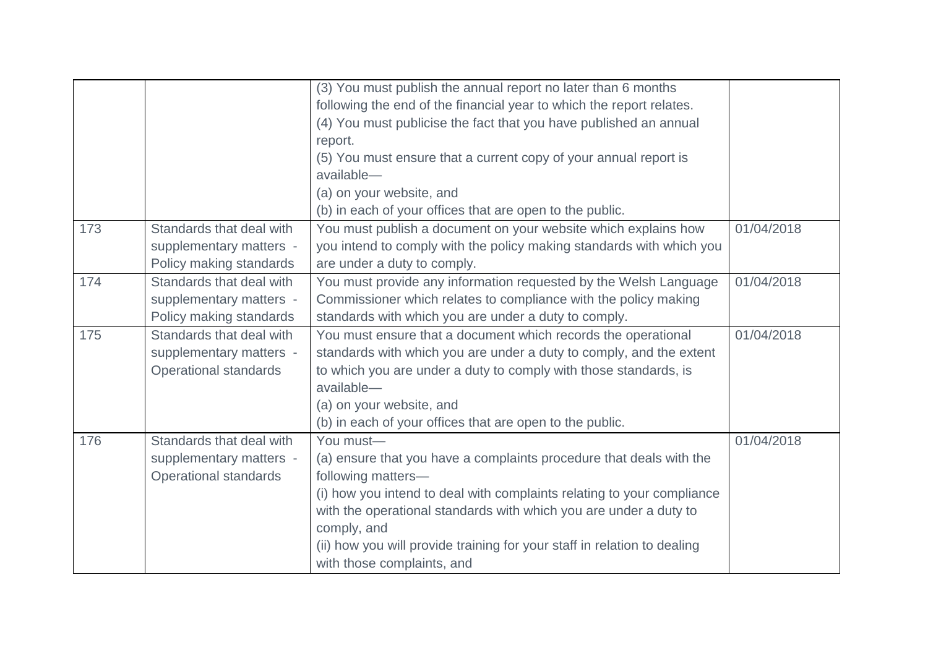|     |                              | (3) You must publish the annual report no later than 6 months            |            |
|-----|------------------------------|--------------------------------------------------------------------------|------------|
|     |                              | following the end of the financial year to which the report relates.     |            |
|     |                              | (4) You must publicise the fact that you have published an annual        |            |
|     |                              | report.                                                                  |            |
|     |                              | (5) You must ensure that a current copy of your annual report is         |            |
|     |                              | available-                                                               |            |
|     |                              | (a) on your website, and                                                 |            |
|     |                              | (b) in each of your offices that are open to the public.                 |            |
| 173 | Standards that deal with     | You must publish a document on your website which explains how           | 01/04/2018 |
|     | supplementary matters -      | you intend to comply with the policy making standards with which you     |            |
|     | Policy making standards      | are under a duty to comply.                                              |            |
| 174 | Standards that deal with     | You must provide any information requested by the Welsh Language         | 01/04/2018 |
|     | supplementary matters -      | Commissioner which relates to compliance with the policy making          |            |
|     | Policy making standards      | standards with which you are under a duty to comply.                     |            |
| 175 | Standards that deal with     | You must ensure that a document which records the operational            | 01/04/2018 |
|     | supplementary matters -      | standards with which you are under a duty to comply, and the extent      |            |
|     | <b>Operational standards</b> | to which you are under a duty to comply with those standards, is         |            |
|     |                              | available-                                                               |            |
|     |                              | (a) on your website, and                                                 |            |
|     |                              | (b) in each of your offices that are open to the public.                 |            |
| 176 | Standards that deal with     | You must-                                                                | 01/04/2018 |
|     | supplementary matters -      | (a) ensure that you have a complaints procedure that deals with the      |            |
|     | Operational standards        | following matters-                                                       |            |
|     |                              | (i) how you intend to deal with complaints relating to your compliance   |            |
|     |                              | with the operational standards with which you are under a duty to        |            |
|     |                              | comply, and                                                              |            |
|     |                              | (ii) how you will provide training for your staff in relation to dealing |            |
|     |                              | with those complaints, and                                               |            |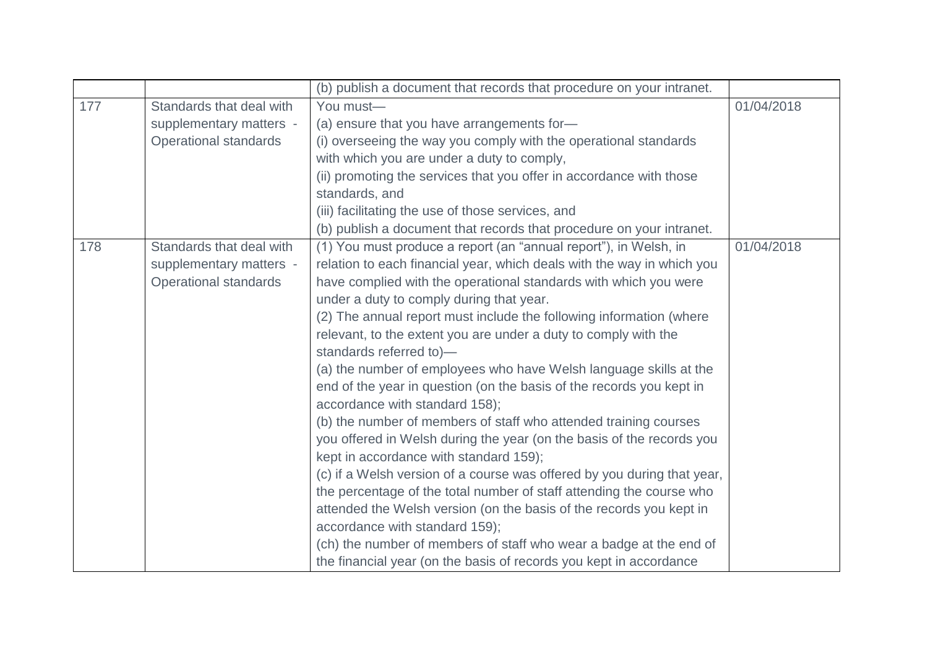| 01/04/2018 |
|------------|
|            |
|            |
|            |
|            |
|            |
|            |
|            |
|            |
| 01/04/2018 |
|            |
|            |
|            |
|            |
|            |
|            |
|            |
|            |
|            |
|            |
|            |
|            |
|            |
|            |
|            |
|            |
|            |
|            |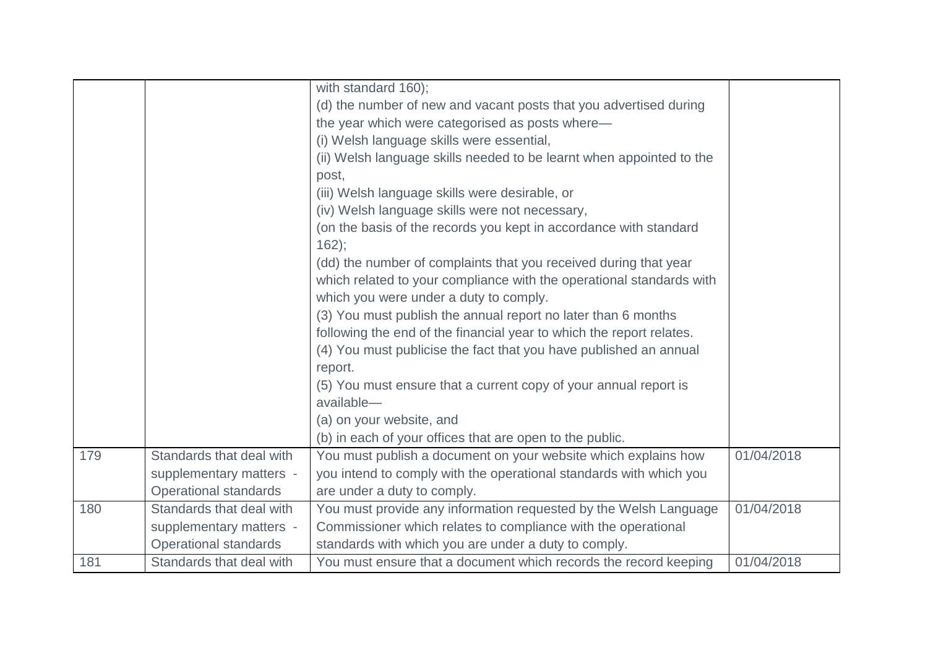|     |                              | with standard 160);                                                  |            |
|-----|------------------------------|----------------------------------------------------------------------|------------|
|     |                              | (d) the number of new and vacant posts that you advertised during    |            |
|     |                              | the year which were categorised as posts where-                      |            |
|     |                              | (i) Welsh language skills were essential,                            |            |
|     |                              | (ii) Welsh language skills needed to be learnt when appointed to the |            |
|     |                              | post,                                                                |            |
|     |                              | (iii) Welsh language skills were desirable, or                       |            |
|     |                              | (iv) Welsh language skills were not necessary,                       |            |
|     |                              | (on the basis of the records you kept in accordance with standard    |            |
|     |                              | $162$ :                                                              |            |
|     |                              | (dd) the number of complaints that you received during that year     |            |
|     |                              | which related to your compliance with the operational standards with |            |
|     |                              | which you were under a duty to comply.                               |            |
|     |                              | (3) You must publish the annual report no later than 6 months        |            |
|     |                              | following the end of the financial year to which the report relates. |            |
|     |                              | (4) You must publicise the fact that you have published an annual    |            |
|     |                              | report.                                                              |            |
|     |                              | (5) You must ensure that a current copy of your annual report is     |            |
|     |                              | available-                                                           |            |
|     |                              | (a) on your website, and                                             |            |
|     |                              | (b) in each of your offices that are open to the public.             |            |
| 179 | Standards that deal with     | You must publish a document on your website which explains how       | 01/04/2018 |
|     | supplementary matters -      | you intend to comply with the operational standards with which you   |            |
|     | <b>Operational standards</b> | are under a duty to comply.                                          |            |
| 180 | Standards that deal with     | You must provide any information requested by the Welsh Language     | 01/04/2018 |
|     | supplementary matters -      | Commissioner which relates to compliance with the operational        |            |
|     | <b>Operational standards</b> | standards with which you are under a duty to comply.                 |            |
| 181 | Standards that deal with     | You must ensure that a document which records the record keeping     | 01/04/2018 |